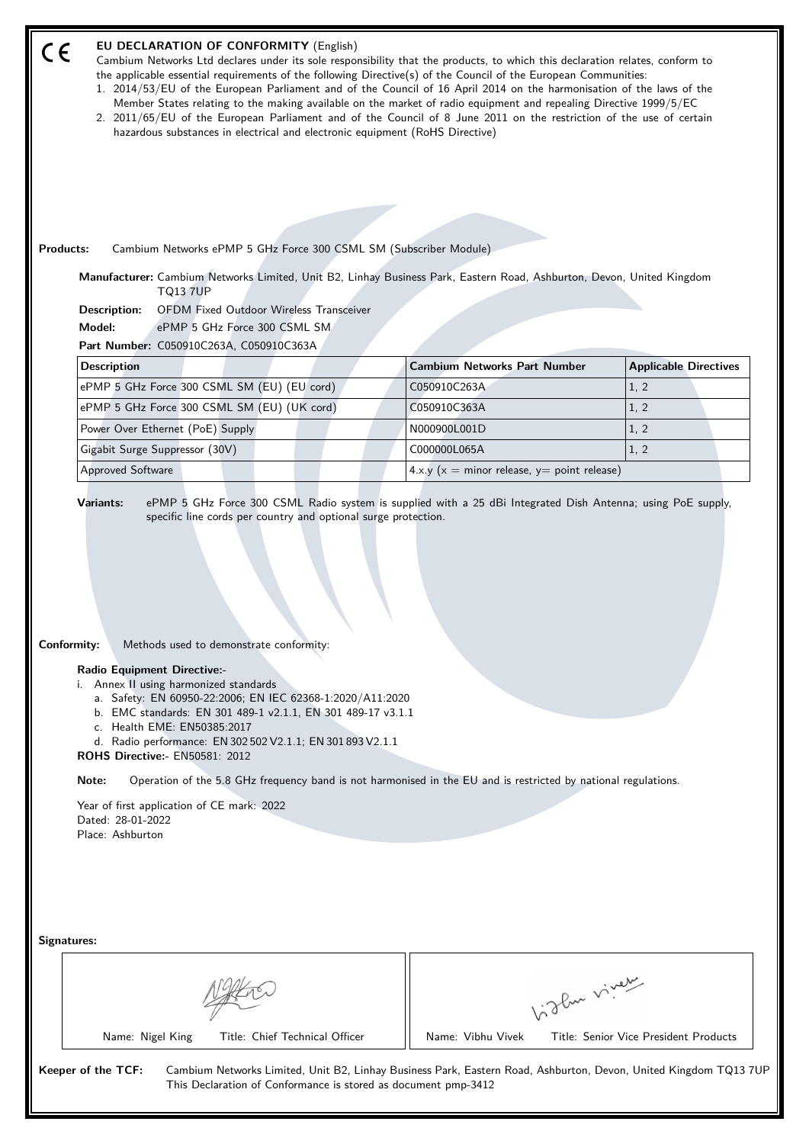| EU DECLARATION OF CONFORMITY (English)<br>Cambium Networks Ltd declares under its sole responsibility that the products, to which this declaration relates, conform to<br>the applicable essential requirements of the following Directive(s) of the Council of the European Communities:<br>1. 2014/53/EU of the European Parliament and of the Council of 16 April 2014 on the harmonisation of the laws of the<br>Member States relating to the making available on the market of radio equipment and repealing Directive 1999/5/EC<br>2. 2011/65/EU of the European Parliament and of the Council of 8 June 2011 on the restriction of the use of certain<br>hazardous substances in electrical and electronic equipment (RoHS Directive)<br>Cambium Networks ePMP 5 GHz Force 300 CSML SM (Subscriber Module)<br><b>Products:</b> |                                                   |                                       |  |  |  |  |
|----------------------------------------------------------------------------------------------------------------------------------------------------------------------------------------------------------------------------------------------------------------------------------------------------------------------------------------------------------------------------------------------------------------------------------------------------------------------------------------------------------------------------------------------------------------------------------------------------------------------------------------------------------------------------------------------------------------------------------------------------------------------------------------------------------------------------------------|---------------------------------------------------|---------------------------------------|--|--|--|--|
| Manufacturer: Cambium Networks Limited, Unit B2, Linhay Business Park, Eastern Road, Ashburton, Devon, United Kingdom<br><b>TQ13 7UP</b>                                                                                                                                                                                                                                                                                                                                                                                                                                                                                                                                                                                                                                                                                               |                                                   |                                       |  |  |  |  |
| <b>OFDM Fixed Outdoor Wireless Transceiver</b><br>Description:                                                                                                                                                                                                                                                                                                                                                                                                                                                                                                                                                                                                                                                                                                                                                                         |                                                   |                                       |  |  |  |  |
| Model:<br>ePMP 5 GHz Force 300 CSML SM<br>Part Number: C050910C263A, C050910C363A                                                                                                                                                                                                                                                                                                                                                                                                                                                                                                                                                                                                                                                                                                                                                      |                                                   |                                       |  |  |  |  |
|                                                                                                                                                                                                                                                                                                                                                                                                                                                                                                                                                                                                                                                                                                                                                                                                                                        |                                                   |                                       |  |  |  |  |
| <b>Description</b>                                                                                                                                                                                                                                                                                                                                                                                                                                                                                                                                                                                                                                                                                                                                                                                                                     | <b>Cambium Networks Part Number</b>               | <b>Applicable Directives</b>          |  |  |  |  |
| ePMP 5 GHz Force 300 CSML SM (EU) (EU cord)                                                                                                                                                                                                                                                                                                                                                                                                                                                                                                                                                                                                                                                                                                                                                                                            | C050910C263A                                      | 1, 2                                  |  |  |  |  |
| ePMP 5 GHz Force 300 CSML SM (EU) (UK cord)                                                                                                                                                                                                                                                                                                                                                                                                                                                                                                                                                                                                                                                                                                                                                                                            | C050910C363A                                      | 1, 2                                  |  |  |  |  |
| Power Over Ethernet (PoE) Supply                                                                                                                                                                                                                                                                                                                                                                                                                                                                                                                                                                                                                                                                                                                                                                                                       | N000900L001D                                      | 1, 2                                  |  |  |  |  |
| Gigabit Surge Suppressor (30V)                                                                                                                                                                                                                                                                                                                                                                                                                                                                                                                                                                                                                                                                                                                                                                                                         | C000000L065A                                      | 1, 2                                  |  |  |  |  |
| Approved Software                                                                                                                                                                                                                                                                                                                                                                                                                                                                                                                                                                                                                                                                                                                                                                                                                      | 4.x.y ( $x =$ minor release, $y =$ point release) |                                       |  |  |  |  |
| Conformity:<br>Methods used to demonstrate conformity:<br><b>Radio Equipment Directive:-</b><br>i. Annex II using harmonized standards<br>a. Safety: EN 60950-22:2006; EN IEC 62368-1:2020/A11:2020<br>b. EMC standards: EN 301 489-1 v2.1.1, EN 301 489-17 v3.1.1<br>c. Health EME: EN50385:2017<br>d. Radio performance: EN 302 502 V2.1.1; EN 301 893 V2.1.1<br><b>ROHS Directive:- EN50581: 2012</b><br>Operation of the 5.8 GHz frequency band is not harmonised in the EU and is restricted by national regulations.<br>Note:<br>Year of first application of CE mark: 2022<br>Dated: 28-01-2022<br>Place: Ashburton                                                                                                                                                                                                             |                                                   |                                       |  |  |  |  |
| Signatures:                                                                                                                                                                                                                                                                                                                                                                                                                                                                                                                                                                                                                                                                                                                                                                                                                            | Light virey                                       |                                       |  |  |  |  |
| Name: Nigel King<br>Title: Chief Technical Officer                                                                                                                                                                                                                                                                                                                                                                                                                                                                                                                                                                                                                                                                                                                                                                                     | Name: Vibhu Vivek                                 | Title: Senior Vice President Products |  |  |  |  |
| Keeper of the TCF:<br>Cambium Networks Limited, Unit B2, Linhay Business Park, Eastern Road, Ashburton, Devon, United Kingdom TQ13 7UP<br>This Declaration of Conformance is stored as document pmp-3412                                                                                                                                                                                                                                                                                                                                                                                                                                                                                                                                                                                                                               |                                                   |                                       |  |  |  |  |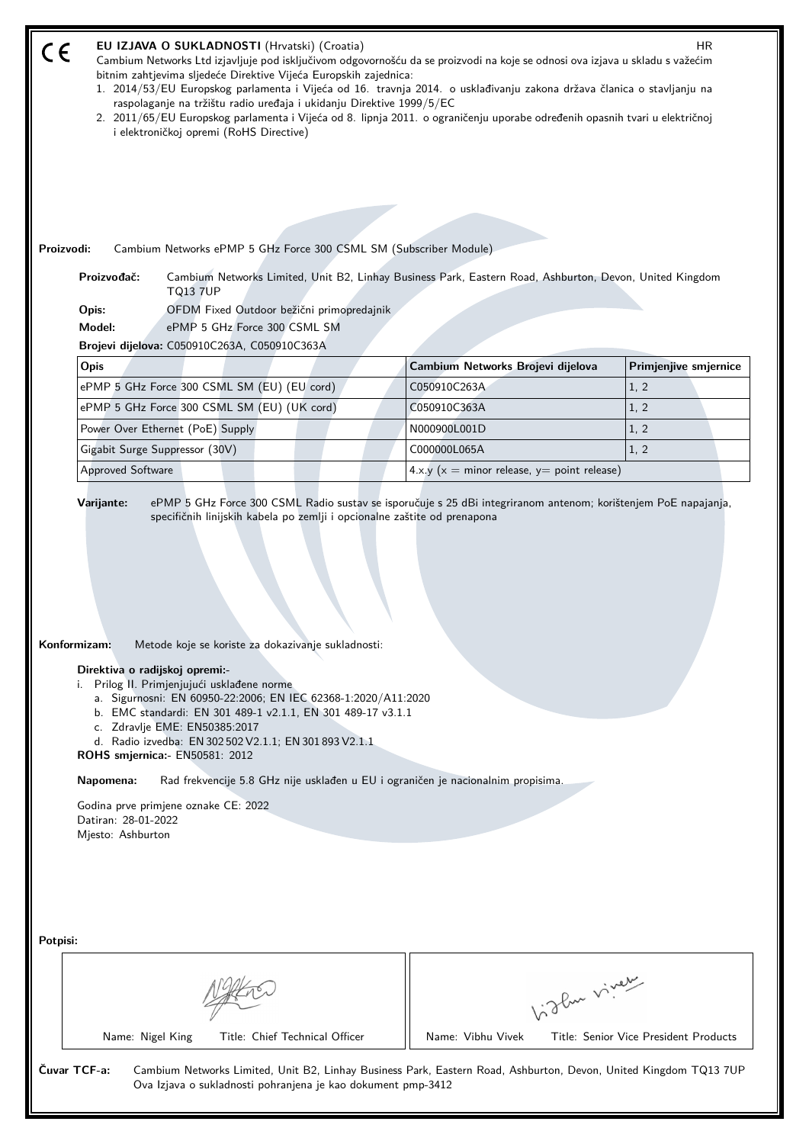| $\epsilon$                                                                                                                                                                                                                                                                                                                                                                                                                                                                                                                                                                                                | EU IZJAVA O SUKLADNOSTI (Hrvatski) (Croatia)<br>HR.<br>Cambium Networks Ltd izjavljuje pod isključivom odgovornošću da se proizvodi na koje se odnosi ova izjava u skladu s važećim<br>bitnim zahtjevima sljedeće Direktive Vijeća Europskih zajednica:<br>1. 2014/53/EU Europskog parlamenta i Vijeća od 16. travnja 2014. o usklađivanju zakona država članica o stavljanju na<br>raspolaganje na tržištu radio uređaja i ukidanju Direktive 1999/5/EC<br>2. 2011/65/EU Europskog parlamenta i Vijeća od 8. lipnja 2011. o ograničenju uporabe određenih opasnih tvari u električnoj<br>i elektroničkoj opremi (RoHS Directive)<br>Proizvodi:<br>Cambium Networks ePMP 5 GHz Force 300 CSML SM (Subscriber Module)<br>Proizvođač:<br>Cambium Networks Limited, Unit B2, Linhay Business Park, Eastern Road, Ashburton, Devon, United Kingdom<br><b>TQ13 7UP</b><br>OFDM Fixed Outdoor bežični primopredajnik<br>Opis:<br>Model:<br>ePMP 5 GHz Force 300 CSML SM<br>Brojevi dijelova: C050910C263A, C050910C363A |                                                   |                                       |  |  |
|-----------------------------------------------------------------------------------------------------------------------------------------------------------------------------------------------------------------------------------------------------------------------------------------------------------------------------------------------------------------------------------------------------------------------------------------------------------------------------------------------------------------------------------------------------------------------------------------------------------|-------------------------------------------------------------------------------------------------------------------------------------------------------------------------------------------------------------------------------------------------------------------------------------------------------------------------------------------------------------------------------------------------------------------------------------------------------------------------------------------------------------------------------------------------------------------------------------------------------------------------------------------------------------------------------------------------------------------------------------------------------------------------------------------------------------------------------------------------------------------------------------------------------------------------------------------------------------------------------------------------------------------|---------------------------------------------------|---------------------------------------|--|--|
|                                                                                                                                                                                                                                                                                                                                                                                                                                                                                                                                                                                                           | Opis                                                                                                                                                                                                                                                                                                                                                                                                                                                                                                                                                                                                                                                                                                                                                                                                                                                                                                                                                                                                              | Cambium Networks Brojevi dijelova                 | Primjenjive smjernice                 |  |  |
|                                                                                                                                                                                                                                                                                                                                                                                                                                                                                                                                                                                                           | ePMP 5 GHz Force 300 CSML SM (EU) (EU cord)                                                                                                                                                                                                                                                                                                                                                                                                                                                                                                                                                                                                                                                                                                                                                                                                                                                                                                                                                                       | C050910C263A                                      | 1, 2                                  |  |  |
|                                                                                                                                                                                                                                                                                                                                                                                                                                                                                                                                                                                                           | ePMP 5 GHz Force 300 CSML SM (EU) (UK cord)                                                                                                                                                                                                                                                                                                                                                                                                                                                                                                                                                                                                                                                                                                                                                                                                                                                                                                                                                                       | C050910C363A                                      | 1, 2                                  |  |  |
|                                                                                                                                                                                                                                                                                                                                                                                                                                                                                                                                                                                                           | Power Over Ethernet (PoE) Supply                                                                                                                                                                                                                                                                                                                                                                                                                                                                                                                                                                                                                                                                                                                                                                                                                                                                                                                                                                                  | N000900L001D                                      | 1, 2                                  |  |  |
|                                                                                                                                                                                                                                                                                                                                                                                                                                                                                                                                                                                                           | Gigabit Surge Suppressor (30V)                                                                                                                                                                                                                                                                                                                                                                                                                                                                                                                                                                                                                                                                                                                                                                                                                                                                                                                                                                                    | C000000L065A                                      | 1, 2                                  |  |  |
|                                                                                                                                                                                                                                                                                                                                                                                                                                                                                                                                                                                                           | Approved Software                                                                                                                                                                                                                                                                                                                                                                                                                                                                                                                                                                                                                                                                                                                                                                                                                                                                                                                                                                                                 | 4.x.y ( $x =$ minor release, $y =$ point release) |                                       |  |  |
| Konformizam:<br>Metode koje se koriste za dokazivanje sukladnosti:<br>Direktiva o radijskoj opremi:-<br>Prilog II. Primjenjujući usklađene norme<br>i.<br>a. Sigurnosni: EN 60950-22:2006; EN IEC 62368-1:2020/A11:2020<br>b. EMC standardi: EN 301 489-1 v2.1.1, EN 301 489-17 v3.1.1<br>c. Zdravlje EME: EN50385:2017<br>d. Radio izvedba: EN 302 502 V2.1.1; EN 301 893 V2.1.1<br>ROHS smjernica: - EN50581: 2012<br>Napomena:<br>Rad frekvencije 5.8 GHz nije usklađen u EU i ograničen je nacionalnim propisima.<br>Godina prve primjene oznake CE: 2022<br>Datiran: 28-01-2022<br>Mjesto: Ashburton |                                                                                                                                                                                                                                                                                                                                                                                                                                                                                                                                                                                                                                                                                                                                                                                                                                                                                                                                                                                                                   |                                                   |                                       |  |  |
| Potpisi:                                                                                                                                                                                                                                                                                                                                                                                                                                                                                                                                                                                                  | Title: Chief Technical Officer<br>Name: Nigel King                                                                                                                                                                                                                                                                                                                                                                                                                                                                                                                                                                                                                                                                                                                                                                                                                                                                                                                                                                | higher virey<br>Name: Vibhu Vivek                 | Title: Senior Vice President Products |  |  |
| Čuvar TCF-a:<br>Cambium Networks Limited, Unit B2, Linhay Business Park, Eastern Road, Ashburton, Devon, United Kingdom TQ13 7UP<br>Ova Izjava o sukladnosti pohranjena je kao dokument pmp-3412                                                                                                                                                                                                                                                                                                                                                                                                          |                                                                                                                                                                                                                                                                                                                                                                                                                                                                                                                                                                                                                                                                                                                                                                                                                                                                                                                                                                                                                   |                                                   |                                       |  |  |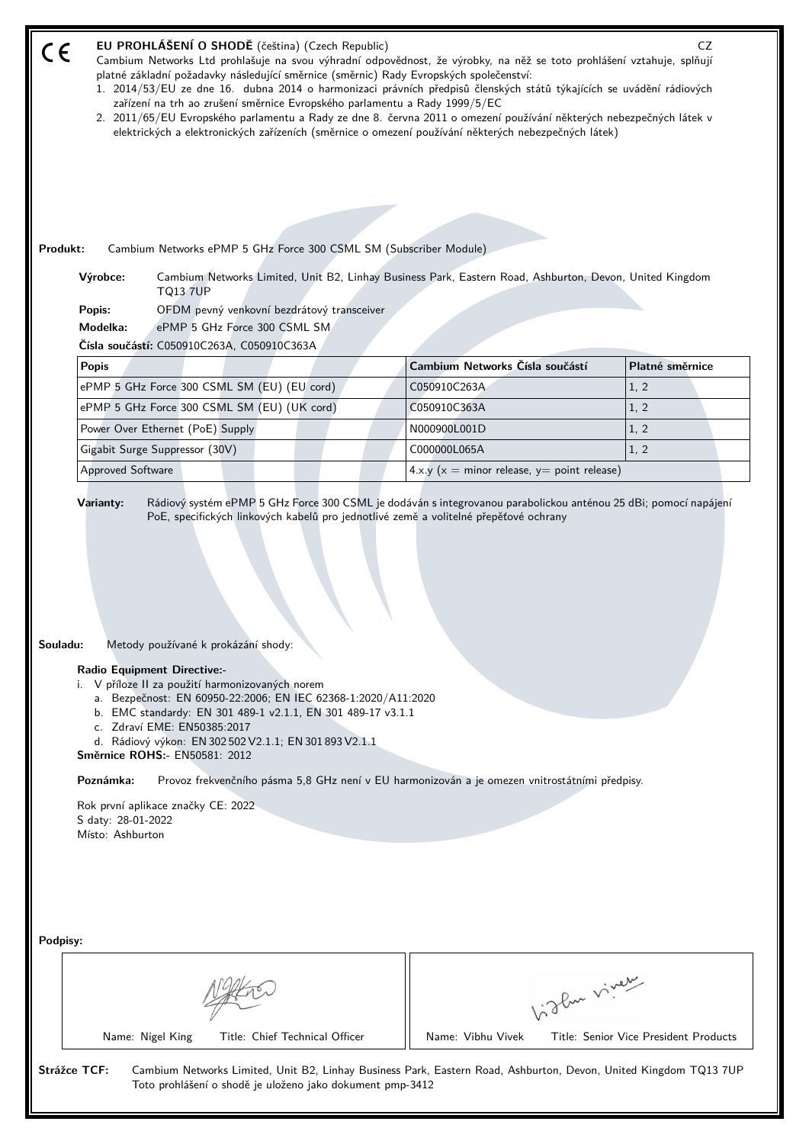| EU PROHLÁŠENÍ O SHODĚ (čeština) (Czech Republic)<br>Cambium Networks Ltd prohlašuje na svou výhradní odpovědnost, že výrobky, na něž se toto prohlášení vztahuje, splňují<br>platné základní požadavky následující směrnice (směrnic) Rady Evropských společenství:<br>1. 2014/53/EU ze dne 16. dubna 2014 o harmonizaci právních předpisů členských států týkajících se uvádění rádiových<br>zařízení na trh ao zrušení směrnice Evropského parlamentu a Rady 1999/5/EC<br>2. 2011/65/EU Evropského parlamentu a Rady ze dne 8. června 2011 o omezení používání některých nebezpečných látek v<br>elektrických a elektronických zařízeních (směrnice o omezení používání některých nebezpečných látek)<br>Produkt:<br>Cambium Networks ePMP 5 GHz Force 300 CSML SM (Subscriber Module)<br>Výrobce:<br>Cambium Networks Limited, Unit B2, Linhay Business Park, Eastern Road, Ashburton, Devon, United Kingdom<br><b>TQ13 7UP</b><br>OFDM pevný venkovní bezdrátový transceiver<br>Popis:<br>Modelka:<br>ePMP 5 GHz Force 300 CSML SM<br>Čísla součástí: C050910C263A, C050910C363A |                                                   | CZ              |  |  |
|--------------------------------------------------------------------------------------------------------------------------------------------------------------------------------------------------------------------------------------------------------------------------------------------------------------------------------------------------------------------------------------------------------------------------------------------------------------------------------------------------------------------------------------------------------------------------------------------------------------------------------------------------------------------------------------------------------------------------------------------------------------------------------------------------------------------------------------------------------------------------------------------------------------------------------------------------------------------------------------------------------------------------------------------------------------------------------------|---------------------------------------------------|-----------------|--|--|
| <b>Popis</b>                                                                                                                                                                                                                                                                                                                                                                                                                                                                                                                                                                                                                                                                                                                                                                                                                                                                                                                                                                                                                                                                         | Cambium Networks Čísla součástí                   | Platné směrnice |  |  |
| ePMP 5 GHz Force 300 CSML SM (EU) (EU cord)                                                                                                                                                                                                                                                                                                                                                                                                                                                                                                                                                                                                                                                                                                                                                                                                                                                                                                                                                                                                                                          | C050910C263A                                      | 1, 2            |  |  |
| ePMP 5 GHz Force 300 CSML SM (EU) (UK cord)                                                                                                                                                                                                                                                                                                                                                                                                                                                                                                                                                                                                                                                                                                                                                                                                                                                                                                                                                                                                                                          | C050910C363A                                      | 1, 2            |  |  |
| Power Over Ethernet (PoE) Supply                                                                                                                                                                                                                                                                                                                                                                                                                                                                                                                                                                                                                                                                                                                                                                                                                                                                                                                                                                                                                                                     | N000900L001D                                      | 1, 2            |  |  |
| Gigabit Surge Suppressor (30V)                                                                                                                                                                                                                                                                                                                                                                                                                                                                                                                                                                                                                                                                                                                                                                                                                                                                                                                                                                                                                                                       | C000000L065A                                      | 1, 2            |  |  |
| Approved Software                                                                                                                                                                                                                                                                                                                                                                                                                                                                                                                                                                                                                                                                                                                                                                                                                                                                                                                                                                                                                                                                    | 4.x.y ( $x =$ minor release, $y =$ point release) |                 |  |  |
| Souladu:<br>Metody používané k prokázání shody:<br><b>Radio Equipment Directive:-</b><br>i. V příloze II za použití harmonizovaných norem<br>a. Bezpečnost: EN 60950-22:2006; EN IEC 62368-1:2020/A11:2020<br>b. EMC standardy: EN 301 489-1 v2.1.1, EN 301 489-17 v3.1.1<br>c. Zdraví EME: EN50385:2017<br>d. Rádiový výkon: EN 302 502 V2.1.1; EN 301 893 V2.1.1<br><b>Směrnice ROHS:- EN50581: 2012</b><br>Poznámka:<br>Provoz frekvenčního pásma 5,8 GHz není v EU harmonizován a je omezen vnitrostátními předpisy.<br>Rok první aplikace značky CE: 2022<br>S daty: 28-01-2022<br>Místo: Ashburton                                                                                                                                                                                                                                                                                                                                                                                                                                                                             |                                                   |                 |  |  |
| Podpisy:                                                                                                                                                                                                                                                                                                                                                                                                                                                                                                                                                                                                                                                                                                                                                                                                                                                                                                                                                                                                                                                                             | Light viver                                       |                 |  |  |
| Title: Chief Technical Officer<br>Name: Nigel King<br>Name: Vibhu Vivek<br>Title: Senior Vice President Products<br>Strážce TCF:<br>Cambium Networks Limited, Unit B2, Linhay Business Park, Eastern Road, Ashburton, Devon, United Kingdom TQ13 7UP<br>Toto prohlášení o shodě je uloženo jako dokument pmp-3412                                                                                                                                                                                                                                                                                                                                                                                                                                                                                                                                                                                                                                                                                                                                                                    |                                                   |                 |  |  |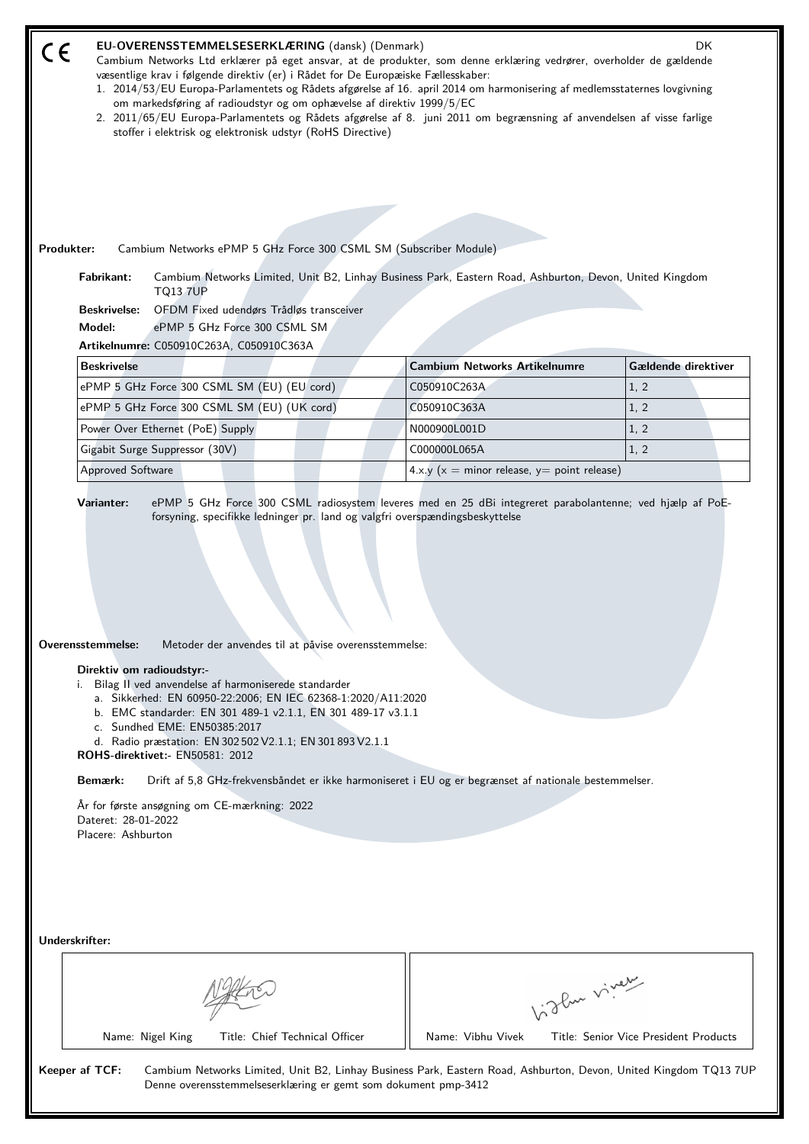|            | DK<br>EU-OVERENSSTEMMELSESERKLÆRING (dansk) (Denmark)<br>Cambium Networks Ltd erklærer på eget ansvar, at de produkter, som denne erklæring vedrører, overholder de gældende<br>væsentlige krav i følgende direktiv (er) i Rådet for De Europæiske Fællesskaber:<br>1. 2014/53/EU Europa-Parlamentets og Rådets afgørelse af 16. april 2014 om harmonisering af medlemsstaternes lovgivning<br>om markedsføring af radioudstyr og om ophævelse af direktiv 1999/5/EC<br>2. 2011/65/EU Europa-Parlamentets og Rådets afgørelse af 8. juni 2011 om begrænsning af anvendelsen af visse farlige<br>stoffer i elektrisk og elektronisk udstyr (RoHS Directive) |                                                   |                                       |  |  |  |
|------------|------------------------------------------------------------------------------------------------------------------------------------------------------------------------------------------------------------------------------------------------------------------------------------------------------------------------------------------------------------------------------------------------------------------------------------------------------------------------------------------------------------------------------------------------------------------------------------------------------------------------------------------------------------|---------------------------------------------------|---------------------------------------|--|--|--|
|            |                                                                                                                                                                                                                                                                                                                                                                                                                                                                                                                                                                                                                                                            |                                                   |                                       |  |  |  |
| Produkter: | Cambium Networks ePMP 5 GHz Force 300 CSML SM (Subscriber Module)<br>Fabrikant:<br>Cambium Networks Limited, Unit B2, Linhay Business Park, Eastern Road, Ashburton, Devon, United Kingdom<br><b>TQ13 7UP</b><br>OFDM Fixed udendørs Trådløs transceiver<br><b>Beskrivelse:</b><br>Model:<br>ePMP 5 GHz Force 300 CSML SM                                                                                                                                                                                                                                                                                                                                  |                                                   |                                       |  |  |  |
|            | Artikelnumre: C050910C263A, C050910C363A                                                                                                                                                                                                                                                                                                                                                                                                                                                                                                                                                                                                                   |                                                   |                                       |  |  |  |
|            | <b>Beskrivelse</b>                                                                                                                                                                                                                                                                                                                                                                                                                                                                                                                                                                                                                                         | <b>Cambium Networks Artikelnumre</b>              | Gældende direktiver                   |  |  |  |
|            | ePMP 5 GHz Force 300 CSML SM (EU) (EU cord)                                                                                                                                                                                                                                                                                                                                                                                                                                                                                                                                                                                                                | C050910C263A                                      | 1, 2                                  |  |  |  |
|            | ePMP 5 GHz Force 300 CSML SM (EU) (UK cord)                                                                                                                                                                                                                                                                                                                                                                                                                                                                                                                                                                                                                | C050910C363A                                      | 1, 2                                  |  |  |  |
|            | Power Over Ethernet (PoE) Supply                                                                                                                                                                                                                                                                                                                                                                                                                                                                                                                                                                                                                           | N000900L001D                                      | 1, 2                                  |  |  |  |
|            | Gigabit Surge Suppressor (30V)                                                                                                                                                                                                                                                                                                                                                                                                                                                                                                                                                                                                                             | C000000L065A                                      | 1, 2                                  |  |  |  |
|            | <b>Approved Software</b>                                                                                                                                                                                                                                                                                                                                                                                                                                                                                                                                                                                                                                   | 4.x.y ( $x =$ minor release, $y =$ point release) |                                       |  |  |  |
|            | Overensstemmelse:<br>Metoder der anvendes til at påvise overensstemmelse:<br>Direktiv om radioudstyr:-<br>Bilag II ved anvendelse af harmoniserede standarder<br>a. Sikkerhed: EN 60950-22:2006; EN IEC 62368-1:2020/A11:2020<br>b. EMC standarder: EN 301 489-1 v2.1.1, EN 301 489-17 v3.1.1<br>c. Sundhed EME: EN50385:2017<br>d. Radio præstation: EN 302 502 V2.1.1; EN 301 893 V2.1.1<br><b>ROHS-direktivet:- EN50581: 2012</b><br>Bemærk:<br>Drift af 5,8 GHz-frekvensbåndet er ikke harmoniseret i EU og er begrænset af nationale bestemmelser.<br>År for første ansøgning om CE-mærkning: 2022<br>Dateret: 28-01-2022<br>Placere: Ashburton       |                                                   |                                       |  |  |  |
|            | Underskrifter:<br>Name: Nigel King<br>Title: Chief Technical Officer                                                                                                                                                                                                                                                                                                                                                                                                                                                                                                                                                                                       | higher viner<br>Name: Vibhu Vivek                 | Title: Senior Vice President Products |  |  |  |
|            | Keeper af TCF:<br>Cambium Networks Limited, Unit B2, Linhay Business Park, Eastern Road, Ashburton, Devon, United Kingdom TQ13 7UP<br>Denne overensstemmelseserklæring er gemt som dokument pmp-3412                                                                                                                                                                                                                                                                                                                                                                                                                                                       |                                                   |                                       |  |  |  |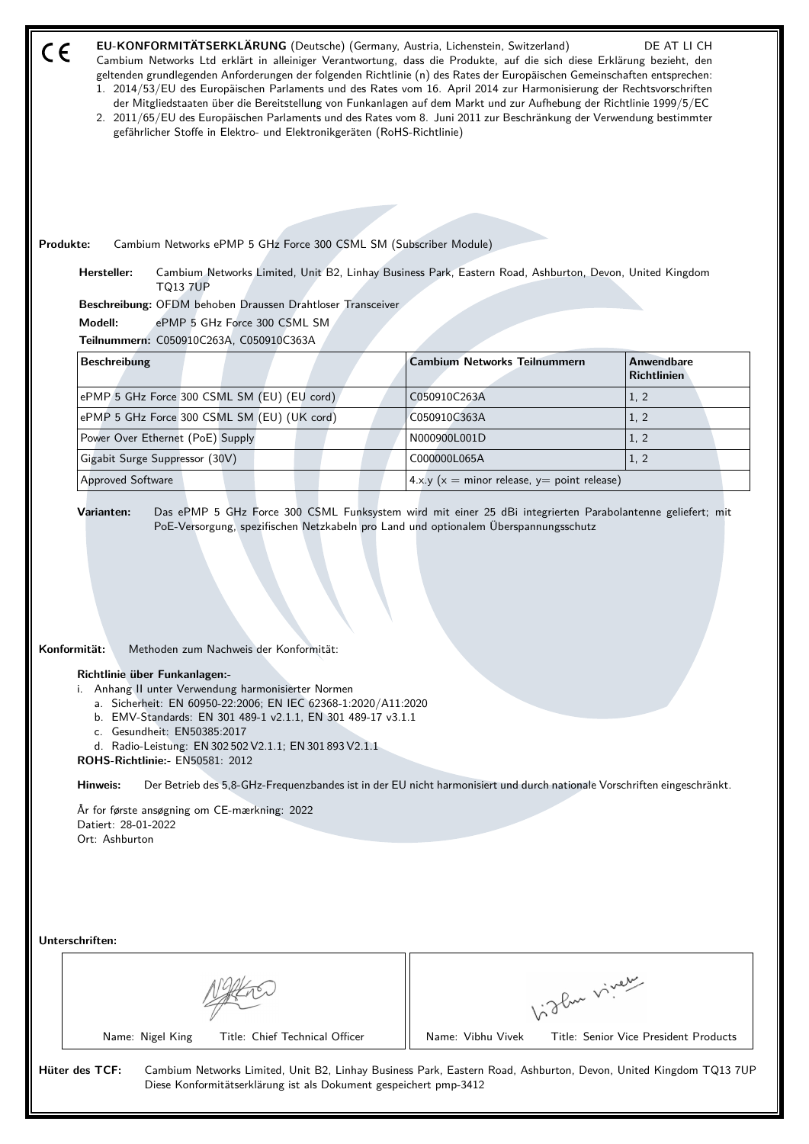| CE        |                                                                                                                                                                        |                              | gefährlicher Stoffe in Elektro- und Elektronikgeräten (RoHS-Richtlinie)                                                                                                                                                           | EU-KONFORMITÄTSERKLÄRUNG (Deutsche) (Germany, Austria, Lichenstein, Switzerland)<br>Cambium Networks Ltd erklärt in alleiniger Verantwortung, dass die Produkte, auf die sich diese Erklärung bezieht, den<br>geltenden grundlegenden Anforderungen der folgenden Richtlinie (n) des Rates der Europäischen Gemeinschaften entsprechen:<br>1. 2014/53/EU des Europäischen Parlaments und des Rates vom 16. April 2014 zur Harmonisierung der Rechtsvorschriften<br>der Mitgliedstaaten über die Bereitstellung von Funkanlagen auf dem Markt und zur Aufhebung der Richtlinie 1999/5/EC<br>2. 2011/65/EU des Europäischen Parlaments und des Rates vom 8. Juni 2011 zur Beschränkung der Verwendung bestimmter |              | DE AT LI CH                           |  |
|-----------|------------------------------------------------------------------------------------------------------------------------------------------------------------------------|------------------------------|-----------------------------------------------------------------------------------------------------------------------------------------------------------------------------------------------------------------------------------|----------------------------------------------------------------------------------------------------------------------------------------------------------------------------------------------------------------------------------------------------------------------------------------------------------------------------------------------------------------------------------------------------------------------------------------------------------------------------------------------------------------------------------------------------------------------------------------------------------------------------------------------------------------------------------------------------------------|--------------|---------------------------------------|--|
|           |                                                                                                                                                                        |                              |                                                                                                                                                                                                                                   |                                                                                                                                                                                                                                                                                                                                                                                                                                                                                                                                                                                                                                                                                                                |              |                                       |  |
| Produkte: | Hersteller:                                                                                                                                                            |                              |                                                                                                                                                                                                                                   | Cambium Networks ePMP 5 GHz Force 300 CSML SM (Subscriber Module)<br>Cambium Networks Limited, Unit B2, Linhay Business Park, Eastern Road, Ashburton, Devon, United Kingdom                                                                                                                                                                                                                                                                                                                                                                                                                                                                                                                                   |              |                                       |  |
|           |                                                                                                                                                                        | <b>TQ13 7UP</b>              |                                                                                                                                                                                                                                   |                                                                                                                                                                                                                                                                                                                                                                                                                                                                                                                                                                                                                                                                                                                |              |                                       |  |
|           | Modell:                                                                                                                                                                | ePMP 5 GHz Force 300 CSML SM | Beschreibung: OFDM behoben Draussen Drahtloser Transceiver                                                                                                                                                                        |                                                                                                                                                                                                                                                                                                                                                                                                                                                                                                                                                                                                                                                                                                                |              |                                       |  |
|           | Teilnummern: C050910C263A, C050910C363A                                                                                                                                |                              |                                                                                                                                                                                                                                   |                                                                                                                                                                                                                                                                                                                                                                                                                                                                                                                                                                                                                                                                                                                |              |                                       |  |
|           | <b>Beschreibung</b>                                                                                                                                                    |                              |                                                                                                                                                                                                                                   | <b>Cambium Networks Teilnummern</b>                                                                                                                                                                                                                                                                                                                                                                                                                                                                                                                                                                                                                                                                            |              | <b>Anwendbare</b><br>Richtlinien      |  |
|           | ePMP 5 GHz Force 300 CSML SM (EU) (EU cord)                                                                                                                            |                              |                                                                                                                                                                                                                                   | C050910C263A                                                                                                                                                                                                                                                                                                                                                                                                                                                                                                                                                                                                                                                                                                   |              | 1, 2                                  |  |
|           | ePMP 5 GHz Force 300 CSML SM (EU) (UK cord)                                                                                                                            |                              |                                                                                                                                                                                                                                   | C050910C363A                                                                                                                                                                                                                                                                                                                                                                                                                                                                                                                                                                                                                                                                                                   |              | 1, 2                                  |  |
|           | Power Over Ethernet (PoE) Supply                                                                                                                                       |                              |                                                                                                                                                                                                                                   | N000900L001D                                                                                                                                                                                                                                                                                                                                                                                                                                                                                                                                                                                                                                                                                                   |              | 1, 2                                  |  |
|           | Gigabit Surge Suppressor (30V)                                                                                                                                         |                              |                                                                                                                                                                                                                                   | C000000L065A                                                                                                                                                                                                                                                                                                                                                                                                                                                                                                                                                                                                                                                                                                   |              | 1, 2                                  |  |
|           | Approved Software                                                                                                                                                      |                              |                                                                                                                                                                                                                                   | 4.x.y ( $x =$ minor release, $y =$ point release)                                                                                                                                                                                                                                                                                                                                                                                                                                                                                                                                                                                                                                                              |              |                                       |  |
|           | Konformität:<br>Richtlinie über Funkanlagen:-<br>i. Anhang II unter Verwendung harmonisierter Normen<br>c. Gesundheit: EN50385:2017<br>ROHS-Richtlinie:- EN50581: 2012 |                              | Methoden zum Nachweis der Konformität:<br>a. Sicherheit: EN 60950-22:2006; EN IEC 62368-1:2020/A11:2020<br>b. EMV-Standards: EN 301 489-1 v2.1.1, EN 301 489-17 v3.1.1<br>d. Radio-Leistung: EN 302 502 V2.1.1; EN 301 893 V2.1.1 |                                                                                                                                                                                                                                                                                                                                                                                                                                                                                                                                                                                                                                                                                                                |              |                                       |  |
|           | Hinweis:                                                                                                                                                               |                              |                                                                                                                                                                                                                                   | Der Betrieb des 5,8-GHz-Frequenzbandes ist in der EU nicht harmonisiert und durch nationale Vorschriften eingeschränkt.                                                                                                                                                                                                                                                                                                                                                                                                                                                                                                                                                                                        |              |                                       |  |
|           | År for første ansøgning om CE-mærkning: 2022<br>Datiert: 28-01-2022<br>Ort: Ashburton                                                                                  |                              |                                                                                                                                                                                                                                   |                                                                                                                                                                                                                                                                                                                                                                                                                                                                                                                                                                                                                                                                                                                |              |                                       |  |
|           | Unterschriften:                                                                                                                                                        |                              |                                                                                                                                                                                                                                   |                                                                                                                                                                                                                                                                                                                                                                                                                                                                                                                                                                                                                                                                                                                |              |                                       |  |
|           |                                                                                                                                                                        |                              |                                                                                                                                                                                                                                   |                                                                                                                                                                                                                                                                                                                                                                                                                                                                                                                                                                                                                                                                                                                | Vidlen viner |                                       |  |
|           | Name: Nigel King                                                                                                                                                       |                              | Title: Chief Technical Officer                                                                                                                                                                                                    | Name: Vibhu Vivek                                                                                                                                                                                                                                                                                                                                                                                                                                                                                                                                                                                                                                                                                              |              | Title: Senior Vice President Products |  |
|           | Hüter des TCF:                                                                                                                                                         |                              |                                                                                                                                                                                                                                   | Cambium Networks Limited, Unit B2, Linhay Business Park, Eastern Road, Ashburton, Devon, United Kingdom TQ13 7UP<br>Diese Konformitätserklärung ist als Dokument gespeichert pmp-3412                                                                                                                                                                                                                                                                                                                                                                                                                                                                                                                          |              |                                       |  |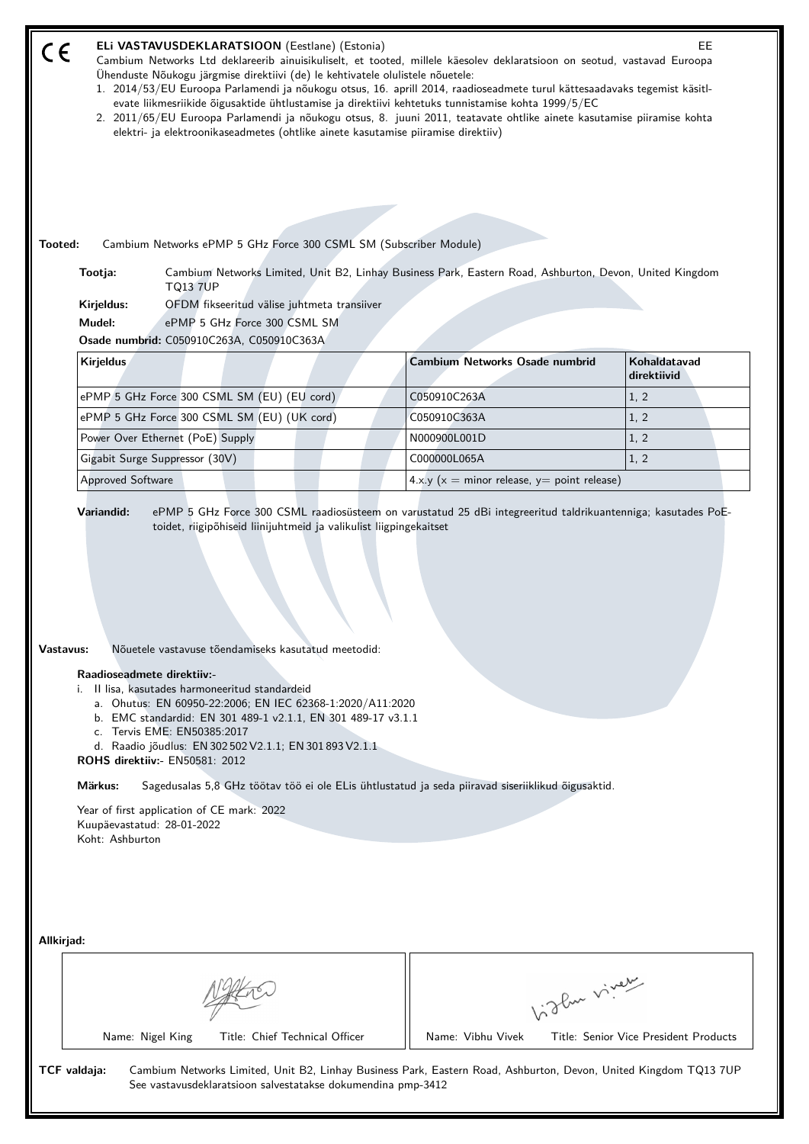| ELi VASTAVUSDEKLARATSIOON (Eestlane) (Estonia)<br>CE<br>Cambium Networks Ltd deklareerib ainuisikuliselt, et tooted, millele käesolev deklaratsioon on seotud, vastavad Euroopa<br>Ühenduste Nõukogu järgmise direktiivi (de) le kehtivatele olulistele nõuetele:<br>1. 2014/53/EU Euroopa Parlamendi ja nõukogu otsus, 16. aprill 2014, raadioseadmete turul kättesaadavaks tegemist käsitl-<br>evate liikmesriikide õigusaktide ühtlustamise ja direktiivi kehtetuks tunnistamise kohta 1999/5/EC<br>2. 2011/65/EU Euroopa Parlamendi ja nõukogu otsus, 8. juuni 2011, teatavate ohtlike ainete kasutamise piiramise kohta<br>elektri- ja elektroonikaseadmetes (ohtlike ainete kasutamise piiramise direktiiv)<br>Cambium Networks ePMP 5 GHz Force 300 CSML SM (Subscriber Module)<br>Tooted: |                                                                                                         | EE.                                   |  |  |
|---------------------------------------------------------------------------------------------------------------------------------------------------------------------------------------------------------------------------------------------------------------------------------------------------------------------------------------------------------------------------------------------------------------------------------------------------------------------------------------------------------------------------------------------------------------------------------------------------------------------------------------------------------------------------------------------------------------------------------------------------------------------------------------------------|---------------------------------------------------------------------------------------------------------|---------------------------------------|--|--|
| Tootja:<br><b>TQ13 7UP</b><br>OFDM fikseeritud välise juhtmeta transiiver<br>Kirjeldus:                                                                                                                                                                                                                                                                                                                                                                                                                                                                                                                                                                                                                                                                                                           | Cambium Networks Limited, Unit B2, Linhay Business Park, Eastern Road, Ashburton, Devon, United Kingdom |                                       |  |  |
| Mudel:<br>ePMP 5 GHz Force 300 CSML SM<br>Osade numbrid: C050910C263A, C050910C363A                                                                                                                                                                                                                                                                                                                                                                                                                                                                                                                                                                                                                                                                                                               |                                                                                                         |                                       |  |  |
| Kirjeldus                                                                                                                                                                                                                                                                                                                                                                                                                                                                                                                                                                                                                                                                                                                                                                                         | <b>Cambium Networks Osade numbrid</b>                                                                   | Kohaldatavad<br>direktiivid           |  |  |
| ePMP 5 GHz Force 300 CSML SM (EU) (EU cord)                                                                                                                                                                                                                                                                                                                                                                                                                                                                                                                                                                                                                                                                                                                                                       | C050910C263A                                                                                            | 1, 2                                  |  |  |
| ePMP 5 GHz Force 300 CSML SM (EU) (UK cord)                                                                                                                                                                                                                                                                                                                                                                                                                                                                                                                                                                                                                                                                                                                                                       | C050910C363A                                                                                            | 1, 2                                  |  |  |
| Power Over Ethernet (PoE) Supply                                                                                                                                                                                                                                                                                                                                                                                                                                                                                                                                                                                                                                                                                                                                                                  | N000900L001D                                                                                            | 1, 2                                  |  |  |
| Gigabit Surge Suppressor (30V)                                                                                                                                                                                                                                                                                                                                                                                                                                                                                                                                                                                                                                                                                                                                                                    | C000000L065A                                                                                            | 1, 2                                  |  |  |
| <b>Approved Software</b>                                                                                                                                                                                                                                                                                                                                                                                                                                                                                                                                                                                                                                                                                                                                                                          | $4.x.y(x = minor release, y = point release)$                                                           |                                       |  |  |
| Vastavus:<br>Nõuetele vastavuse tõendamiseks kasutatud meetodid:<br>Raadioseadmete direktiiv:-<br>i. Il lisa, kasutades harmoneeritud standardeid<br>a. Ohutus: EN 60950-22:2006; EN IEC 62368-1:2020/A11:2020<br>b. EMC standardid: EN 301 489-1 v2.1.1, EN 301 489-17 v3.1.1<br>c. Tervis EME: EN50385:2017<br>d. Raadio jõudlus: EN 302 502 V2.1.1; EN 301 893 V2.1.1<br>ROHS direktiiv:- EN50581: 2012<br>Märkus:<br>Sagedusalas 5,8 GHz töötav töö ei ole ELis ühtlustatud ja seda piiravad siseriiklikud õigusaktid.<br>Year of first application of CE mark: 2022<br>Kuupäevastatud: 28-01-2022<br>Koht: Ashburton                                                                                                                                                                         |                                                                                                         |                                       |  |  |
| Allkirjad:                                                                                                                                                                                                                                                                                                                                                                                                                                                                                                                                                                                                                                                                                                                                                                                        |                                                                                                         |                                       |  |  |
|                                                                                                                                                                                                                                                                                                                                                                                                                                                                                                                                                                                                                                                                                                                                                                                                   | Vidley vivey                                                                                            |                                       |  |  |
| Name: Nigel King<br>Title: Chief Technical Officer                                                                                                                                                                                                                                                                                                                                                                                                                                                                                                                                                                                                                                                                                                                                                | Name: Vibhu Vivek                                                                                       | Title: Senior Vice President Products |  |  |
| TCF valdaja:<br>Cambium Networks Limited, Unit B2, Linhay Business Park, Eastern Road, Ashburton, Devon, United Kingdom TQ13 7UP<br>See vastavusdeklaratsioon salvestatakse dokumendina pmp-3412                                                                                                                                                                                                                                                                                                                                                                                                                                                                                                                                                                                                  |                                                                                                         |                                       |  |  |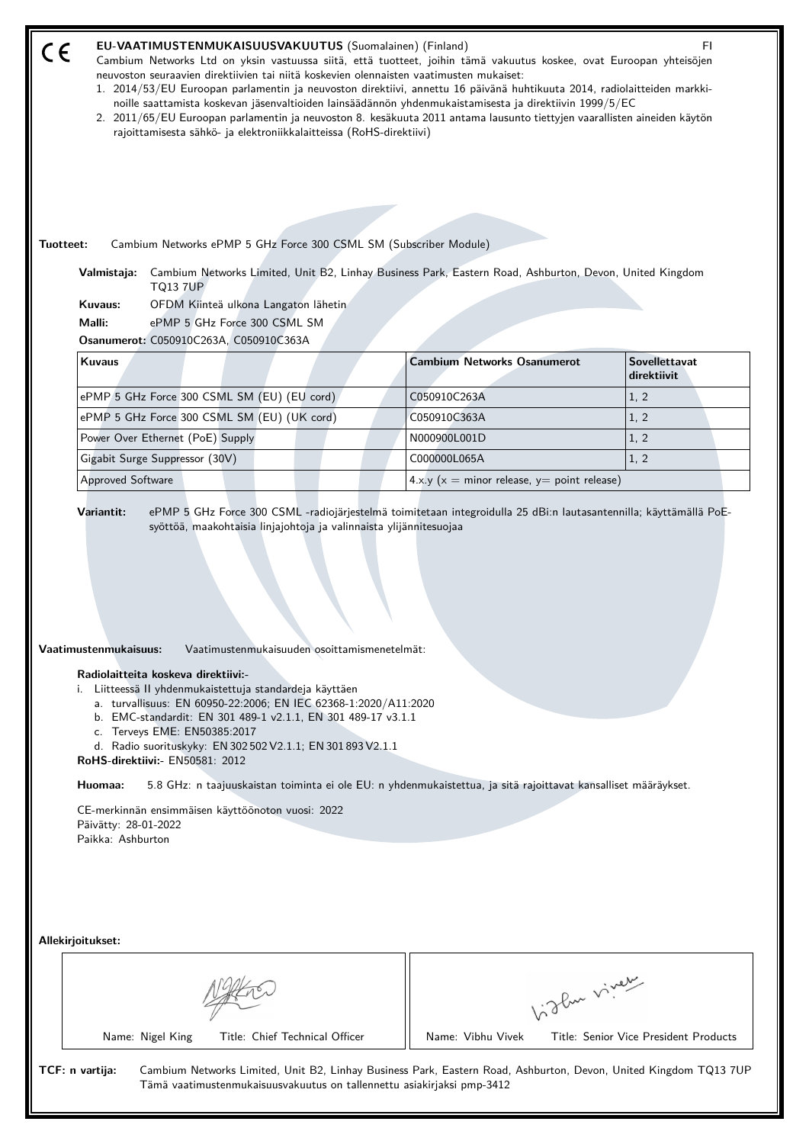| EU-VAATIMUSTENMUKAISUUSVAKUUTUS (Suomalainen) (Finland)<br>FI.<br>Cambium Networks Ltd on yksin vastuussa siitä, että tuotteet, joihin tämä vakuutus koskee, ovat Euroopan yhteisöjen<br>neuvoston seuraavien direktiivien tai niitä koskevien olennaisten vaatimusten mukaiset:<br>1. 2014/53/EU Euroopan parlamentin ja neuvoston direktiivi, annettu 16 päivänä huhtikuuta 2014, radiolaitteiden markki-<br>noille saattamista koskevan jäsenvaltioiden lainsäädännön yhdenmukaistamisesta ja direktiivin 1999/5/EC<br>2. 2011/65/EU Euroopan parlamentin ja neuvoston 8. kesäkuuta 2011 antama lausunto tiettyjen vaarallisten aineiden käytön<br>rajoittamisesta sähkö- ja elektroniikkalaitteissa (RoHS-direktiivi)<br>Cambium Networks ePMP 5 GHz Force 300 CSML SM (Subscriber Module)<br>Tuotteet:<br>Cambium Networks Limited, Unit B2, Linhay Business Park, Eastern Road, Ashburton, Devon, United Kingdom<br>Valmistaja: |                                                   |                                     |  |  |  |
|---------------------------------------------------------------------------------------------------------------------------------------------------------------------------------------------------------------------------------------------------------------------------------------------------------------------------------------------------------------------------------------------------------------------------------------------------------------------------------------------------------------------------------------------------------------------------------------------------------------------------------------------------------------------------------------------------------------------------------------------------------------------------------------------------------------------------------------------------------------------------------------------------------------------------------------|---------------------------------------------------|-------------------------------------|--|--|--|
| <b>TQ13 7UP</b><br>Kuvaus:<br>OFDM Kiinteä ulkona Langaton lähetin<br>ePMP 5 GHz Force 300 CSML SM<br>Malli:<br>Osanumerot: C050910C263A, C050910C363A                                                                                                                                                                                                                                                                                                                                                                                                                                                                                                                                                                                                                                                                                                                                                                                |                                                   |                                     |  |  |  |
| <b>Kuvaus</b>                                                                                                                                                                                                                                                                                                                                                                                                                                                                                                                                                                                                                                                                                                                                                                                                                                                                                                                         | <b>Cambium Networks Osanumerot</b>                | <b>Sovellettavat</b><br>direktiivit |  |  |  |
| ePMP 5 GHz Force 300 CSML SM (EU) (EU cord)                                                                                                                                                                                                                                                                                                                                                                                                                                                                                                                                                                                                                                                                                                                                                                                                                                                                                           | C050910C263A                                      | 1, 2                                |  |  |  |
| ePMP 5 GHz Force 300 CSML SM (EU) (UK cord)                                                                                                                                                                                                                                                                                                                                                                                                                                                                                                                                                                                                                                                                                                                                                                                                                                                                                           | C050910C363A                                      | 1, 2                                |  |  |  |
| Power Over Ethernet (PoE) Supply                                                                                                                                                                                                                                                                                                                                                                                                                                                                                                                                                                                                                                                                                                                                                                                                                                                                                                      | N000900L001D                                      | 1, 2                                |  |  |  |
| Gigabit Surge Suppressor (30V)                                                                                                                                                                                                                                                                                                                                                                                                                                                                                                                                                                                                                                                                                                                                                                                                                                                                                                        | C000000L065A                                      | 1, 2                                |  |  |  |
| <b>Approved Software</b>                                                                                                                                                                                                                                                                                                                                                                                                                                                                                                                                                                                                                                                                                                                                                                                                                                                                                                              | 4.x.y ( $x =$ minor release, $y =$ point release) |                                     |  |  |  |
| Vaatimustenmukaisuus:<br>Vaatimustenmukaisuuden osoittamismenetelmät:<br>Radiolaitteita koskeva direktiivi:-<br>i. Liitteessä II yhdenmukaistettuja standardeja käyttäen<br>a. turvallisuus: EN 60950-22:2006; EN IEC 62368-1:2020/A11:2020<br>b. EMC-standardit: EN 301 489-1 v2.1.1, EN 301 489-17 v3.1.1<br>c. Terveys EME: EN50385:2017<br>d. Radio suorituskyky: EN 302 502 V2.1.1; EN 301 893 V2.1.1<br>RoHS-direktiivi:- EN50581: 2012<br>Huomaa:<br>5.8 GHz: n taajuuskaistan toiminta ei ole EU: n yhdenmukaistettua, ja sitä rajoittavat kansalliset määräykset.                                                                                                                                                                                                                                                                                                                                                            |                                                   |                                     |  |  |  |
| CE-merkinnän ensimmäisen käyttöönoton vuosi: 2022<br>Päivätty: 28-01-2022<br>Paikka: Ashburton<br>Allekirjoitukset:                                                                                                                                                                                                                                                                                                                                                                                                                                                                                                                                                                                                                                                                                                                                                                                                                   |                                                   |                                     |  |  |  |
|                                                                                                                                                                                                                                                                                                                                                                                                                                                                                                                                                                                                                                                                                                                                                                                                                                                                                                                                       |                                                   |                                     |  |  |  |
|                                                                                                                                                                                                                                                                                                                                                                                                                                                                                                                                                                                                                                                                                                                                                                                                                                                                                                                                       |                                                   | Vidlen viner                        |  |  |  |
| Name: Vibhu Vivek<br>Title: Senior Vice President Products<br>Name: Nigel King<br>Title: Chief Technical Officer<br>TCF: n vartija:<br>Cambium Networks Limited, Unit B2, Linhay Business Park, Eastern Road, Ashburton, Devon, United Kingdom TQ13 7UP<br>Tämä vaatimustenmukaisuusvakuutus on tallennettu asiakirjaksi pmp-3412                                                                                                                                                                                                                                                                                                                                                                                                                                                                                                                                                                                                     |                                                   |                                     |  |  |  |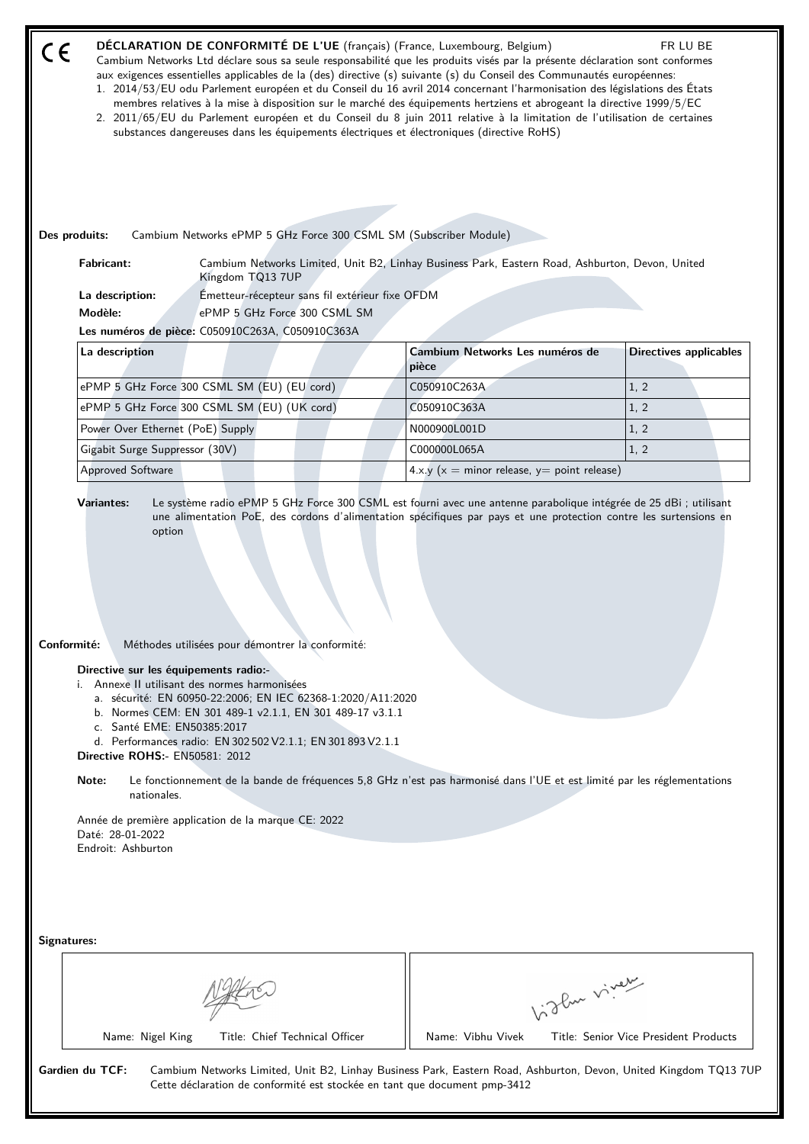| $\epsilon$                             |                                                                     |                                                                                                                                            |                                                                                                                                                                                        | DÉCLARATION DE CONFORMITÉ DE L'UE (français) (France, Luxembourg, Belgium)<br>Cambium Networks Ltd déclare sous sa seule responsabilité que les produits visés par la présente déclaration sont conformes<br>aux exigences essentielles applicables de la (des) directive (s) suivante (s) du Conseil des Communautés européennes:<br>1. 2014/53/EU odu Parlement européen et du Conseil du 16 avril 2014 concernant l'harmonisation des législations des États<br>membres relatives à la mise à disposition sur le marché des équipements hertziens et abrogeant la directive 1999/5/EC<br>2. 2011/65/EU du Parlement européen et du Conseil du 8 juin 2011 relative à la limitation de l'utilisation de certaines<br>substances dangereuses dans les équipements électriques et électroniques (directive RoHS) |                                 |                                                   | FR LU BE                              |  |
|----------------------------------------|---------------------------------------------------------------------|--------------------------------------------------------------------------------------------------------------------------------------------|----------------------------------------------------------------------------------------------------------------------------------------------------------------------------------------|------------------------------------------------------------------------------------------------------------------------------------------------------------------------------------------------------------------------------------------------------------------------------------------------------------------------------------------------------------------------------------------------------------------------------------------------------------------------------------------------------------------------------------------------------------------------------------------------------------------------------------------------------------------------------------------------------------------------------------------------------------------------------------------------------------------|---------------------------------|---------------------------------------------------|---------------------------------------|--|
|                                        |                                                                     |                                                                                                                                            |                                                                                                                                                                                        |                                                                                                                                                                                                                                                                                                                                                                                                                                                                                                                                                                                                                                                                                                                                                                                                                  |                                 |                                                   |                                       |  |
| Des produits:                          |                                                                     |                                                                                                                                            |                                                                                                                                                                                        | Cambium Networks ePMP 5 GHz Force 300 CSML SM (Subscriber Module)                                                                                                                                                                                                                                                                                                                                                                                                                                                                                                                                                                                                                                                                                                                                                |                                 |                                                   |                                       |  |
| <b>Fabricant:</b>                      |                                                                     | Kingdom TQ13 7UP                                                                                                                           |                                                                                                                                                                                        | Cambium Networks Limited, Unit B2, Linhay Business Park, Eastern Road, Ashburton, Devon, United                                                                                                                                                                                                                                                                                                                                                                                                                                                                                                                                                                                                                                                                                                                  |                                 |                                                   |                                       |  |
| La description:                        |                                                                     |                                                                                                                                            | Émetteur-récepteur sans fil extérieur fixe OFDM                                                                                                                                        |                                                                                                                                                                                                                                                                                                                                                                                                                                                                                                                                                                                                                                                                                                                                                                                                                  |                                 |                                                   |                                       |  |
| Modèle:                                |                                                                     |                                                                                                                                            | ePMP 5 GHz Force 300 CSML SM                                                                                                                                                           |                                                                                                                                                                                                                                                                                                                                                                                                                                                                                                                                                                                                                                                                                                                                                                                                                  |                                 |                                                   |                                       |  |
|                                        |                                                                     | Les numéros de pièce: C050910C263A, C050910C363A                                                                                           |                                                                                                                                                                                        |                                                                                                                                                                                                                                                                                                                                                                                                                                                                                                                                                                                                                                                                                                                                                                                                                  |                                 |                                                   |                                       |  |
| La description                         |                                                                     |                                                                                                                                            |                                                                                                                                                                                        | pièce                                                                                                                                                                                                                                                                                                                                                                                                                                                                                                                                                                                                                                                                                                                                                                                                            | Cambium Networks Les numéros de |                                                   | <b>Directives applicables</b>         |  |
|                                        |                                                                     | ePMP 5 GHz Force 300 CSML SM (EU) (EU cord)                                                                                                |                                                                                                                                                                                        | C050910C263A                                                                                                                                                                                                                                                                                                                                                                                                                                                                                                                                                                                                                                                                                                                                                                                                     |                                 |                                                   | 1, 2                                  |  |
|                                        |                                                                     | ePMP 5 GHz Force 300 CSML SM (EU) (UK cord)                                                                                                |                                                                                                                                                                                        | C050910C363A                                                                                                                                                                                                                                                                                                                                                                                                                                                                                                                                                                                                                                                                                                                                                                                                     |                                 |                                                   | 1, 2                                  |  |
|                                        | Power Over Ethernet (PoE) Supply                                    |                                                                                                                                            |                                                                                                                                                                                        | N000900L001D                                                                                                                                                                                                                                                                                                                                                                                                                                                                                                                                                                                                                                                                                                                                                                                                     |                                 |                                                   | 1, 2                                  |  |
|                                        | Gigabit Surge Suppressor (30V)                                      |                                                                                                                                            |                                                                                                                                                                                        | C000000L065A                                                                                                                                                                                                                                                                                                                                                                                                                                                                                                                                                                                                                                                                                                                                                                                                     |                                 |                                                   | 1, 2                                  |  |
| Approved Software                      |                                                                     |                                                                                                                                            |                                                                                                                                                                                        |                                                                                                                                                                                                                                                                                                                                                                                                                                                                                                                                                                                                                                                                                                                                                                                                                  |                                 | 4.x.y ( $x =$ minor release, $y =$ point release) |                                       |  |
| Conformité:                            | c. Santé EME: EN50385:2017<br><b>Directive ROHS:- EN50581: 2012</b> | Méthodes utilisées pour démontrer la conformité:<br>Directive sur les équipements radio:-<br>i. Annexe II utilisant des normes harmonisées | a. sécurité: EN 60950-22:2006; EN IEC 62368-1:2020/A11:2020<br>b. Normes CEM: EN 301 489-1 v2.1.1, EN 301 489-17 v3.1.1<br>d. Performances radio: EN 302 502 V2.1.1; EN 301 893 V2.1.1 |                                                                                                                                                                                                                                                                                                                                                                                                                                                                                                                                                                                                                                                                                                                                                                                                                  |                                 |                                                   |                                       |  |
| Note:                                  | nationales.                                                         |                                                                                                                                            |                                                                                                                                                                                        | Le fonctionnement de la bande de fréquences 5,8 GHz n'est pas harmonisé dans l'UE et est limité par les réglementations                                                                                                                                                                                                                                                                                                                                                                                                                                                                                                                                                                                                                                                                                          |                                 |                                                   |                                       |  |
| Daté: 28-01-2022<br>Endroit: Ashburton |                                                                     | Année de première application de la marque CE: 2022                                                                                        |                                                                                                                                                                                        |                                                                                                                                                                                                                                                                                                                                                                                                                                                                                                                                                                                                                                                                                                                                                                                                                  |                                 |                                                   |                                       |  |
| Signatures:                            |                                                                     |                                                                                                                                            |                                                                                                                                                                                        |                                                                                                                                                                                                                                                                                                                                                                                                                                                                                                                                                                                                                                                                                                                                                                                                                  |                                 |                                                   |                                       |  |
|                                        |                                                                     |                                                                                                                                            |                                                                                                                                                                                        |                                                                                                                                                                                                                                                                                                                                                                                                                                                                                                                                                                                                                                                                                                                                                                                                                  |                                 |                                                   |                                       |  |
|                                        |                                                                     |                                                                                                                                            |                                                                                                                                                                                        |                                                                                                                                                                                                                                                                                                                                                                                                                                                                                                                                                                                                                                                                                                                                                                                                                  |                                 | Vigla vivey                                       |                                       |  |
|                                        | Name: Nigel King                                                    |                                                                                                                                            | Title: Chief Technical Officer                                                                                                                                                         |                                                                                                                                                                                                                                                                                                                                                                                                                                                                                                                                                                                                                                                                                                                                                                                                                  | Name: Vibhu Vivek               |                                                   | Title: Senior Vice President Products |  |
| Gardien du TCF:                        |                                                                     |                                                                                                                                            |                                                                                                                                                                                        | Cambium Networks Limited, Unit B2, Linhay Business Park, Eastern Road, Ashburton, Devon, United Kingdom TQ13 7UP<br>Cette déclaration de conformité est stockée en tant que document pmp-3412                                                                                                                                                                                                                                                                                                                                                                                                                                                                                                                                                                                                                    |                                 |                                                   |                                       |  |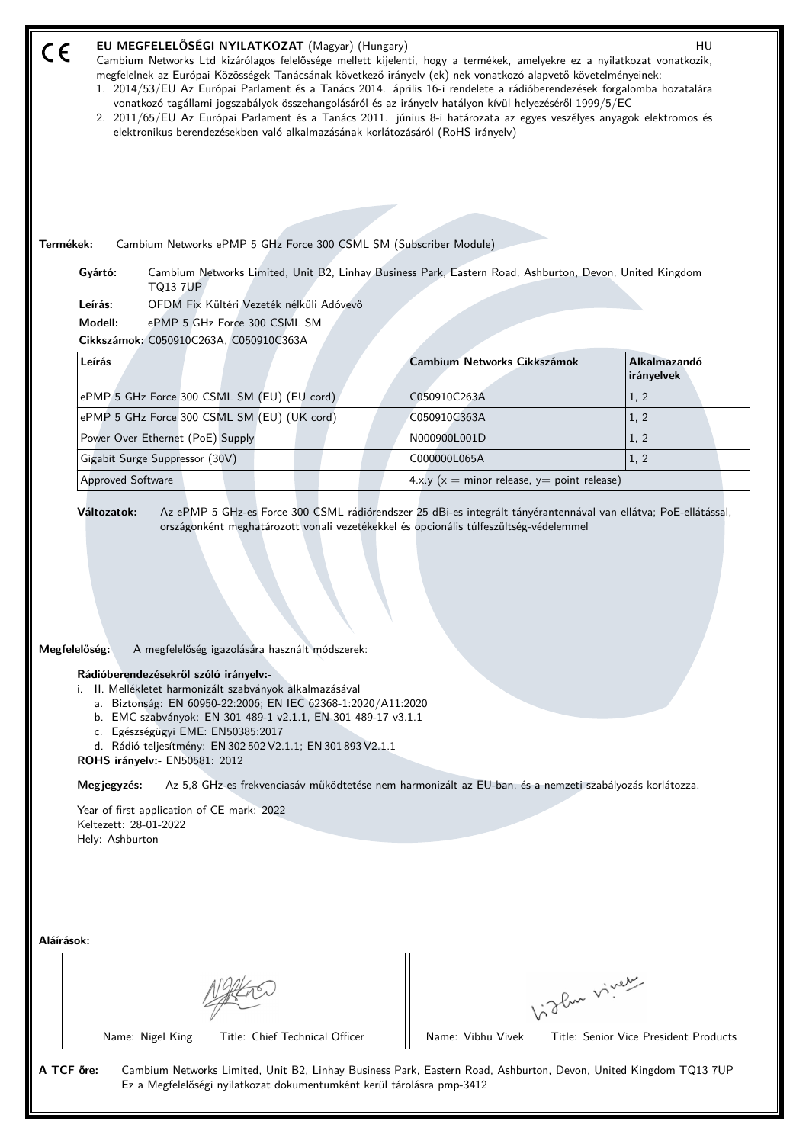| EU MEGFELELŐSÉGI NYILATKOZAT (Magyar) (Hungary)<br>$C \in$<br>Cambium Networks Ltd kizárólagos felelőssége mellett kijelenti, hogy a termékek, amelyekre ez a nyilatkozat vonatkozik,<br>megfelelnek az Európai Közösségek Tanácsának következő irányelv (ek) nek vonatkozó alapvető követelményeinek:<br>1. 2014/53/EU Az Európai Parlament és a Tanács 2014. április 16-i rendelete a rádióberendezések forgalomba hozatalára<br>vonatkozó tagállami jogszabályok összehangolásáról és az irányelv hatályon kívül helyezéséről 1999/5/EC<br>2. 2011/65/EU Az Európai Parlament és a Tanács 2011. június 8-i határozata az egyes veszélyes anyagok elektromos és<br>elektronikus berendezésekben való alkalmazásának korlátozásáról (RoHS irányelv) |                                                   | HU                                    |
|------------------------------------------------------------------------------------------------------------------------------------------------------------------------------------------------------------------------------------------------------------------------------------------------------------------------------------------------------------------------------------------------------------------------------------------------------------------------------------------------------------------------------------------------------------------------------------------------------------------------------------------------------------------------------------------------------------------------------------------------------|---------------------------------------------------|---------------------------------------|
|                                                                                                                                                                                                                                                                                                                                                                                                                                                                                                                                                                                                                                                                                                                                                      |                                                   |                                       |
| Termékek:<br>Cambium Networks ePMP 5 GHz Force 300 CSML SM (Subscriber Module)                                                                                                                                                                                                                                                                                                                                                                                                                                                                                                                                                                                                                                                                       |                                                   |                                       |
| Gyártó:<br>Cambium Networks Limited, Unit B2, Linhay Business Park, Eastern Road, Ashburton, Devon, United Kingdom<br><b>TQ13 7UP</b>                                                                                                                                                                                                                                                                                                                                                                                                                                                                                                                                                                                                                |                                                   |                                       |
| Leírás:<br>OFDM Fix Kültéri Vezeték nélküli Adóvevő                                                                                                                                                                                                                                                                                                                                                                                                                                                                                                                                                                                                                                                                                                  |                                                   |                                       |
| ePMP 5 GHz Force 300 CSML SM<br>Modell:                                                                                                                                                                                                                                                                                                                                                                                                                                                                                                                                                                                                                                                                                                              |                                                   |                                       |
| Cikkszámok: C050910C263A, C050910C363A<br>Leírás                                                                                                                                                                                                                                                                                                                                                                                                                                                                                                                                                                                                                                                                                                     | Cambium Networks Cikkszámok                       | Alkalmazandó                          |
|                                                                                                                                                                                                                                                                                                                                                                                                                                                                                                                                                                                                                                                                                                                                                      |                                                   | irányelvek                            |
| ePMP 5 GHz Force 300 CSML SM (EU) (EU cord)                                                                                                                                                                                                                                                                                                                                                                                                                                                                                                                                                                                                                                                                                                          | C050910C263A                                      | 1, 2                                  |
| ePMP 5 GHz Force 300 CSML SM (EU) (UK cord)                                                                                                                                                                                                                                                                                                                                                                                                                                                                                                                                                                                                                                                                                                          | C050910C363A                                      | 1, 2                                  |
| Power Over Ethernet (PoE) Supply                                                                                                                                                                                                                                                                                                                                                                                                                                                                                                                                                                                                                                                                                                                     | N000900L001D                                      | 1, 2                                  |
| Gigabit Surge Suppressor (30V)                                                                                                                                                                                                                                                                                                                                                                                                                                                                                                                                                                                                                                                                                                                       | C000000L065A                                      | 1, 2                                  |
| <b>Approved Software</b>                                                                                                                                                                                                                                                                                                                                                                                                                                                                                                                                                                                                                                                                                                                             | 4.x.y ( $x =$ minor release, $y =$ point release) |                                       |
| Megfelelőség:<br>A megfelelőség igazolására használt módszerek:<br>Rádióberendezésekről szóló irányelv:-<br>i. II. Mellékletet harmonizált szabványok alkalmazásával<br>a. Biztonság: EN 60950-22:2006; EN IEC 62368-1:2020/A11:2020<br>b. EMC szabványok: EN 301 489-1 v2.1.1, EN 301 489-17 v3.1.1<br>c. Egészségügyi EME: EN50385:2017<br>d. Rádió teljesítmény: EN 302 502 V2.1.1; EN 301 893 V2.1.1<br>ROHS irányelv:- EN50581: 2012                                                                                                                                                                                                                                                                                                            |                                                   |                                       |
| Megjegyzés:<br>Az 5,8 GHz-es frekvenciasáv működtetése nem harmonizált az EU-ban, és a nemzeti szabályozás korlátozza.                                                                                                                                                                                                                                                                                                                                                                                                                                                                                                                                                                                                                               |                                                   |                                       |
| Year of first application of CE mark: 2022<br>Keltezett: 28-01-2022<br>Hely: Ashburton                                                                                                                                                                                                                                                                                                                                                                                                                                                                                                                                                                                                                                                               |                                                   |                                       |
| Aláírások:                                                                                                                                                                                                                                                                                                                                                                                                                                                                                                                                                                                                                                                                                                                                           |                                                   |                                       |
|                                                                                                                                                                                                                                                                                                                                                                                                                                                                                                                                                                                                                                                                                                                                                      |                                                   | Light virey                           |
| Name: Nigel King<br>Title: Chief Technical Officer                                                                                                                                                                                                                                                                                                                                                                                                                                                                                                                                                                                                                                                                                                   | Name: Vibhu Vivek                                 | Title: Senior Vice President Products |
| A TCF őre:<br>Cambium Networks Limited, Unit B2, Linhay Business Park, Eastern Road, Ashburton, Devon, United Kingdom TQ13 7UP<br>Ez a Megfelelőségi nyilatkozat dokumentumként kerül tárolásra pmp-3412                                                                                                                                                                                                                                                                                                                                                                                                                                                                                                                                             |                                                   |                                       |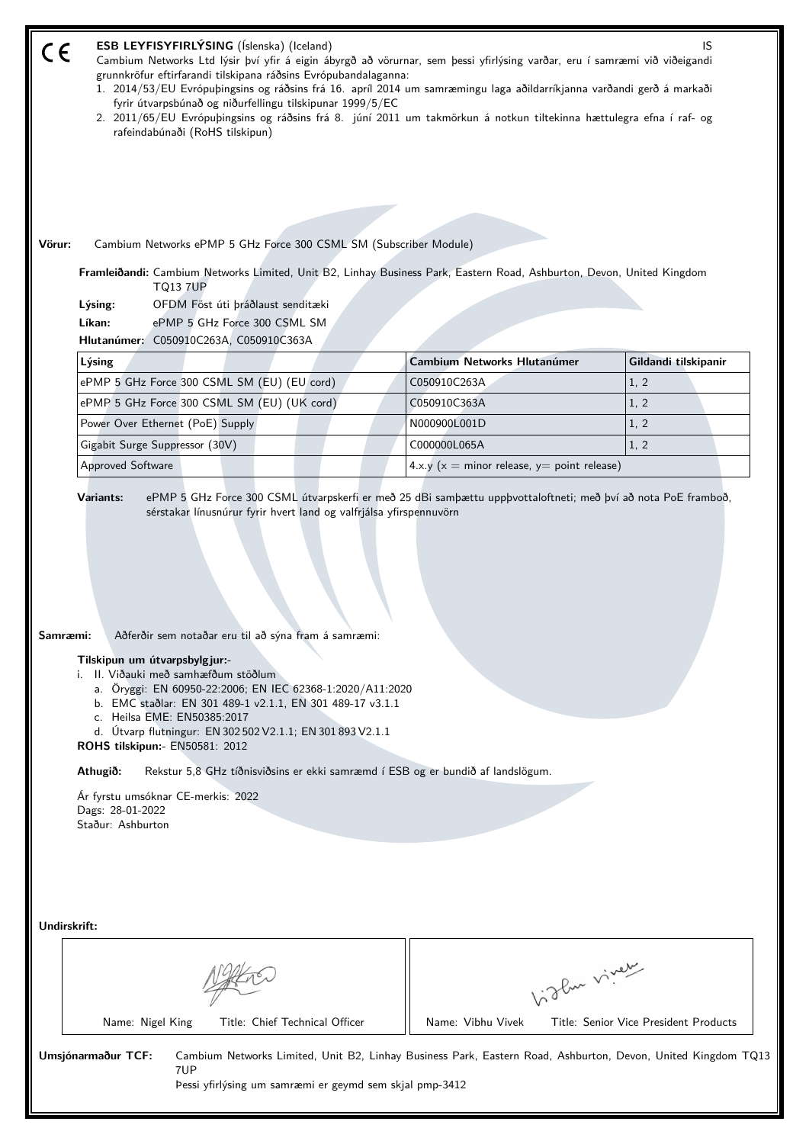|        | ESB LEYFISYFIRLÝSING (Íslenska) (Iceland)<br>IS<br>Cambium Networks Ltd lýsir því yfir á eigin ábyrgð að vörurnar, sem þessi yfirlýsing varðar, eru í samræmi við viðeigandi<br>grunnkröfur eftirfarandi tilskipana ráðsins Evrópubandalaganna:<br>1. 2014/53/EU Evrópuþingsins og ráðsins frá 16. apríl 2014 um samræmingu laga aðildarríkjanna varðandi gerð á markaði<br>fyrir útvarpsbúnað og niðurfellingu tilskipunar 1999/5/EC<br>2. 2011/65/EU Evrópuþingsins og ráðsins frá 8. júní 2011 um takmörkun á notkun tiltekinna hættulegra efna í raf- og<br>rafeindabúnaði (RoHS tilskipun) |                                                   |                                       |  |  |  |  |
|--------|-------------------------------------------------------------------------------------------------------------------------------------------------------------------------------------------------------------------------------------------------------------------------------------------------------------------------------------------------------------------------------------------------------------------------------------------------------------------------------------------------------------------------------------------------------------------------------------------------|---------------------------------------------------|---------------------------------------|--|--|--|--|
| Vörur: | Cambium Networks ePMP 5 GHz Force 300 CSML SM (Subscriber Module)                                                                                                                                                                                                                                                                                                                                                                                                                                                                                                                               |                                                   |                                       |  |  |  |  |
|        | Framleiðandi: Cambium Networks Limited, Unit B2, Linhay Business Park, Eastern Road, Ashburton, Devon, United Kingdom<br><b>TQ13 7UP</b><br>OFDM Föst úti þráðlaust senditæki<br>Lýsing:<br>Líkan:<br>ePMP 5 GHz Force 300 CSML SM<br>Hlutanúmer: C050910C263A, C050910C363A                                                                                                                                                                                                                                                                                                                    |                                                   |                                       |  |  |  |  |
|        | Lýsing                                                                                                                                                                                                                                                                                                                                                                                                                                                                                                                                                                                          | <b>Cambium Networks Hlutanúmer</b>                | Gildandi tilskipanir                  |  |  |  |  |
|        | ePMP 5 GHz Force 300 CSML SM (EU) (EU cord)                                                                                                                                                                                                                                                                                                                                                                                                                                                                                                                                                     | C050910C263A                                      | 1, 2                                  |  |  |  |  |
|        | ePMP 5 GHz Force 300 CSML SM (EU) (UK cord)                                                                                                                                                                                                                                                                                                                                                                                                                                                                                                                                                     | C050910C363A                                      | 1, 2                                  |  |  |  |  |
|        | Power Over Ethernet (PoE) Supply                                                                                                                                                                                                                                                                                                                                                                                                                                                                                                                                                                | N000900L001D                                      | 1, 2                                  |  |  |  |  |
|        | Gigabit Surge Suppressor (30V)                                                                                                                                                                                                                                                                                                                                                                                                                                                                                                                                                                  | C000000L065A                                      | 1, 2                                  |  |  |  |  |
|        | <b>Approved Software</b>                                                                                                                                                                                                                                                                                                                                                                                                                                                                                                                                                                        | 4.x.y ( $x =$ minor release, $y =$ point release) |                                       |  |  |  |  |
|        | Samræmi:<br>Aðferðir sem notaðar eru til að sýna fram á samræmi:<br>Tilskipun um útvarpsbylgjur:-<br>i. II. Viðauki með samhæfðum stöðlum<br>a. Öryggi: EN 60950-22:2006; EN IEC 62368-1:2020/A11:2020<br>b. EMC staðlar: EN 301 489-1 v2.1.1, EN 301 489-17 v3.1.1<br>c. Heilsa EME: EN50385:2017<br>d. Útvarp flutningur: EN 302 502 V2.1.1; EN 301 893 V2.1.1<br>ROHS tilskipun:- EN50581: 2012<br>Athugið:<br>Rekstur 5,8 GHz tíðnisviðsins er ekki samræmd í ESB og er bundið af landslögum.<br>Ár fyrstu umsóknar CE-merkis: 2022<br>Dags: 28-01-2022<br>Staður: Ashburton                |                                                   |                                       |  |  |  |  |
|        | Undirskrift:                                                                                                                                                                                                                                                                                                                                                                                                                                                                                                                                                                                    | Vight virey                                       |                                       |  |  |  |  |
|        | Title: Chief Technical Officer                                                                                                                                                                                                                                                                                                                                                                                                                                                                                                                                                                  | Name: Vibhu Vivek                                 | Title: Senior Vice President Products |  |  |  |  |
|        | Name: Nigel King                                                                                                                                                                                                                                                                                                                                                                                                                                                                                                                                                                                |                                                   |                                       |  |  |  |  |
|        | Umsjónarmaður TCF:<br>Cambium Networks Limited, Unit B2, Linhay Business Park, Eastern Road, Ashburton, Devon, United Kingdom TQ13<br>7UP<br>Pessi yfirlýsing um samræmi er geymd sem skjal pmp-3412                                                                                                                                                                                                                                                                                                                                                                                            |                                                   |                                       |  |  |  |  |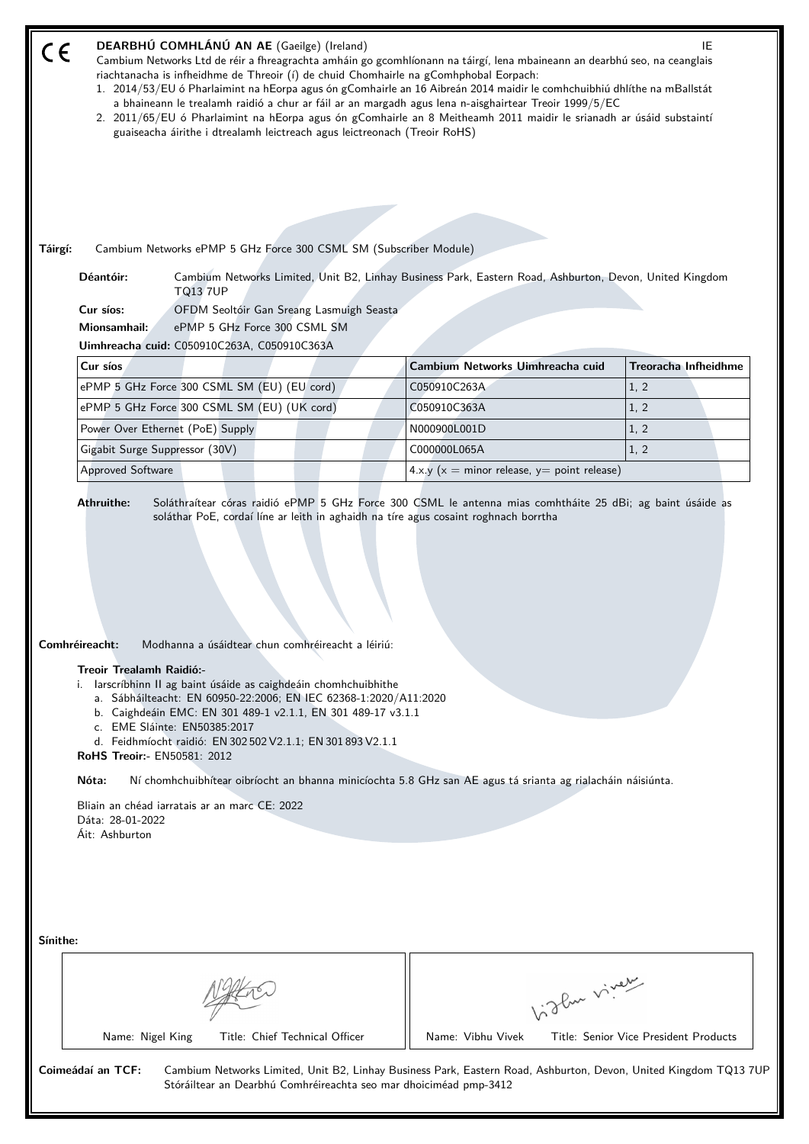| CE<br>Táirgí: | DEARBHÚ COMHLÁNÚ AN AE (Gaeilge) (Ireland)<br>Cambium Networks Ltd de réir a fhreagrachta amháin go gcomhlíonann na táirgí, lena mbaineann an dearbhú seo, na ceanglais<br>riachtanacha is infheidhme de Threoir (í) de chuid Chomhairle na gComhphobal Eorpach:<br>1. 2014/53/EU ó Pharlaimint na hEorpa agus ón gComhairle an 16 Aibreán 2014 maidir le comhchuibhiú dhlíthe na mBallstát<br>a bhaineann le trealamh raidió a chur ar fáil ar an margadh agus lena n-aisghairtear Treoir 1999/5/EC<br>2. 2011/65/EU ó Pharlaimint na hEorpa agus ón gComhairle an 8 Meitheamh 2011 maidir le srianadh ar úsáid substaintí<br>guaiseacha áirithe i dtrealamh leictreach agus leictreonach (Treoir RoHS)<br>Cambium Networks ePMP 5 GHz Force 300 CSML SM (Subscriber Module)                                                                                                         |                                                                   | IE                                    |  |  |
|---------------|---------------------------------------------------------------------------------------------------------------------------------------------------------------------------------------------------------------------------------------------------------------------------------------------------------------------------------------------------------------------------------------------------------------------------------------------------------------------------------------------------------------------------------------------------------------------------------------------------------------------------------------------------------------------------------------------------------------------------------------------------------------------------------------------------------------------------------------------------------------------------------------|-------------------------------------------------------------------|---------------------------------------|--|--|
|               | Déantóir:<br>Cambium Networks Limited, Unit B2, Linhay Business Park, Eastern Road, Ashburton, Devon, United Kingdom<br><b>TQ13 7UP</b><br>Cur síos:<br>OFDM Seoltóir Gan Sreang Lasmuigh Seasta                                                                                                                                                                                                                                                                                                                                                                                                                                                                                                                                                                                                                                                                                      |                                                                   |                                       |  |  |
|               | Mionsamhail:<br>ePMP 5 GHz Force 300 CSML SM                                                                                                                                                                                                                                                                                                                                                                                                                                                                                                                                                                                                                                                                                                                                                                                                                                          |                                                                   |                                       |  |  |
|               | Uimhreacha cuid: C050910C263A, C050910C363A                                                                                                                                                                                                                                                                                                                                                                                                                                                                                                                                                                                                                                                                                                                                                                                                                                           |                                                                   |                                       |  |  |
|               | Cur síos                                                                                                                                                                                                                                                                                                                                                                                                                                                                                                                                                                                                                                                                                                                                                                                                                                                                              | Cambium Networks Uimhreacha cuid                                  | <b>Treoracha Infheidhme</b>           |  |  |
|               | ePMP 5 GHz Force 300 CSML SM (EU) (EU cord)                                                                                                                                                                                                                                                                                                                                                                                                                                                                                                                                                                                                                                                                                                                                                                                                                                           | C050910C263A                                                      | 1, 2                                  |  |  |
|               | ePMP 5 GHz Force 300 CSML SM (EU) (UK cord)                                                                                                                                                                                                                                                                                                                                                                                                                                                                                                                                                                                                                                                                                                                                                                                                                                           | C050910C363A                                                      | 1, 2                                  |  |  |
|               | Power Over Ethernet (PoE) Supply                                                                                                                                                                                                                                                                                                                                                                                                                                                                                                                                                                                                                                                                                                                                                                                                                                                      | N000900L001D                                                      | 1, 2                                  |  |  |
|               | Gigabit Surge Suppressor (30V)<br><b>Approved Software</b>                                                                                                                                                                                                                                                                                                                                                                                                                                                                                                                                                                                                                                                                                                                                                                                                                            | C000000L065A<br>4.x.y ( $x =$ minor release, $y =$ point release) | 1, 2                                  |  |  |
|               | <b>Athruithe:</b><br>Soláthraítear córas raidió ePMP 5 GHz Force 300 CSML le antenna mias comhtháite 25 dBi; ag baint úsáide as<br>soláthar PoE, cordaí líne ar leith in aghaidh na tíre agus cosaint roghnach borrtha<br>Comhréireacht:<br>Modhanna a úsáidtear chun comhréireacht a léiriú:<br>Treoir Trealamh Raidió:-<br>i. Iarscríbhinn II ag baint úsáide as caighdeáin chomhchuibhithe<br>a. Sábháilteacht: EN 60950-22:2006; EN IEC 62368-1:2020/A11:2020<br>b. Caighdeáin EMC: EN 301 489-1 v2.1.1, EN 301 489-17 v3.1.1<br>c. EME Sláinte: EN50385:2017<br>d. Feidhmíocht raidió: EN 302 502 V2.1.1; EN 301 893 V2.1.1<br><b>RoHS Treoir:- EN50581: 2012</b><br>Nóta:<br>Ní chomhchuibhítear oibríocht an bhanna minicíochta 5.8 GHz san AE agus tá srianta ag rialacháin náisiúnta.<br>Bliain an chéad iarratais ar an marc CE: 2022<br>Dáta: 28-01-2022<br>Áit: Ashburton |                                                                   |                                       |  |  |
| Sínithe:      | Name: Nigel King<br>Title: Chief Technical Officer                                                                                                                                                                                                                                                                                                                                                                                                                                                                                                                                                                                                                                                                                                                                                                                                                                    | Like viney<br>Name: Vibhu Vivek                                   | Title: Senior Vice President Products |  |  |
|               | Coimeádaí an TCF:<br>Cambium Networks Limited, Unit B2, Linhay Business Park, Eastern Road, Ashburton, Devon, United Kingdom TQ137UF<br>Stóráiltear an Dearbhú Comhréireachta seo mar dhoiciméad pmp-3412                                                                                                                                                                                                                                                                                                                                                                                                                                                                                                                                                                                                                                                                             |                                                                   |                                       |  |  |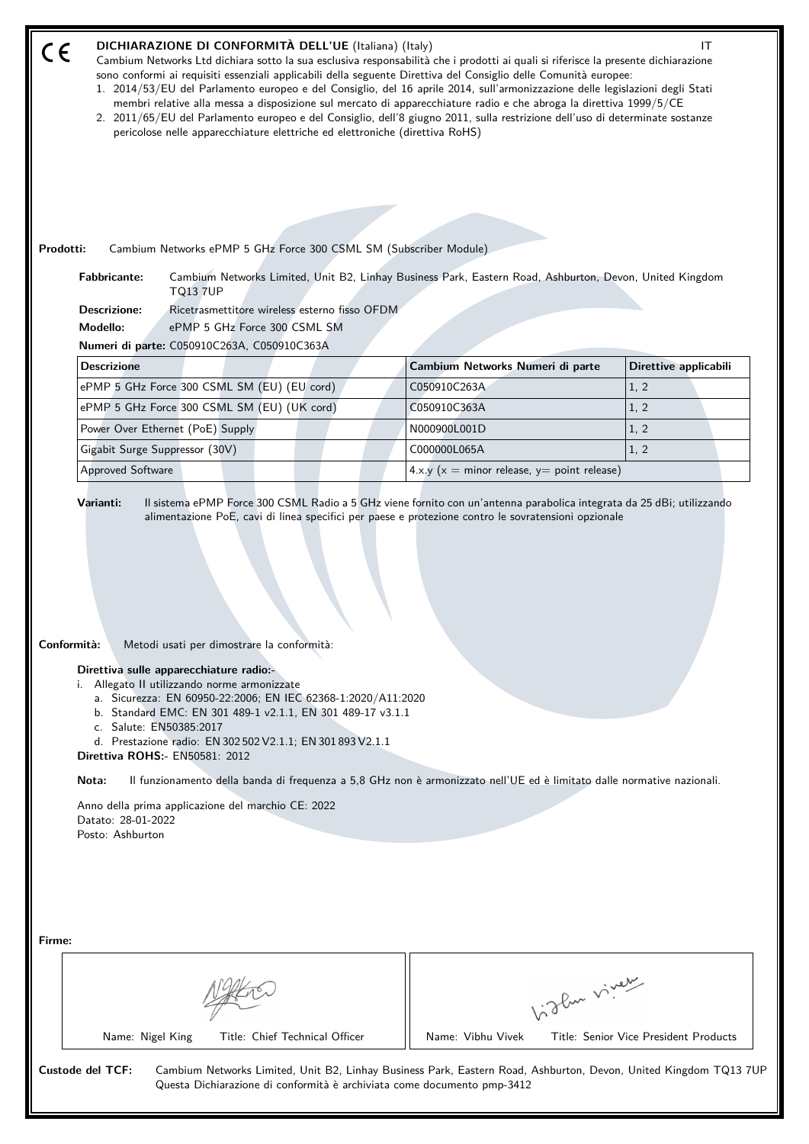| CE          |                                                                                                                     | DICHIARAZIONE DI CONFORMITÀ DELL'UE (Italiana) (Italy)<br>Cambium Networks Ltd dichiara sotto la sua esclusiva responsabilità che i prodotti ai quali si riferisce la presente dichiarazione<br>sono conformi ai requisiti essenziali applicabili della seguente Direttiva del Consiglio delle Comunità europee:<br>1. 2014/53/EU del Parlamento europeo e del Consiglio, del 16 aprile 2014, sull'armonizzazione delle legislazioni degli Stati<br>membri relative alla messa a disposizione sul mercato di apparecchiature radio e che abroga la direttiva 1999/5/CE<br>2. 2011/65/EU del Parlamento europeo e del Consiglio, dell'8 giugno 2011, sulla restrizione dell'uso di determinate sostanze<br>pericolose nelle apparecchiature elettriche ed elettroniche (direttiva RoHS) |                                                   | ΙT                                                   |
|-------------|---------------------------------------------------------------------------------------------------------------------|----------------------------------------------------------------------------------------------------------------------------------------------------------------------------------------------------------------------------------------------------------------------------------------------------------------------------------------------------------------------------------------------------------------------------------------------------------------------------------------------------------------------------------------------------------------------------------------------------------------------------------------------------------------------------------------------------------------------------------------------------------------------------------------|---------------------------------------------------|------------------------------------------------------|
| Prodotti:   |                                                                                                                     | Cambium Networks ePMP 5 GHz Force 300 CSML SM (Subscriber Module)                                                                                                                                                                                                                                                                                                                                                                                                                                                                                                                                                                                                                                                                                                                      |                                                   |                                                      |
|             | <b>Fabbricante:</b><br><b>Descrizione:</b><br>Modello:                                                              | Cambium Networks Limited, Unit B2, Linhay Business Park, Eastern Road, Ashburton, Devon, United Kingdom<br><b>TQ13 7UP</b><br>Ricetrasmettitore wireless esterno fisso OFDM<br>ePMP 5 GHz Force 300 CSML SM<br>Numeri di parte: C050910C263A, C050910C363A                                                                                                                                                                                                                                                                                                                                                                                                                                                                                                                             |                                                   |                                                      |
|             | <b>Descrizione</b>                                                                                                  |                                                                                                                                                                                                                                                                                                                                                                                                                                                                                                                                                                                                                                                                                                                                                                                        | Cambium Networks Numeri di parte                  | Direttive applicabili                                |
|             |                                                                                                                     | ePMP 5 GHz Force 300 CSML SM (EU) (EU cord)                                                                                                                                                                                                                                                                                                                                                                                                                                                                                                                                                                                                                                                                                                                                            | C050910C263A                                      | 1, 2                                                 |
|             |                                                                                                                     | ePMP 5 GHz Force 300 CSML SM (EU) (UK cord)                                                                                                                                                                                                                                                                                                                                                                                                                                                                                                                                                                                                                                                                                                                                            | C050910C363A                                      | 1, 2                                                 |
|             |                                                                                                                     | Power Over Ethernet (PoE) Supply                                                                                                                                                                                                                                                                                                                                                                                                                                                                                                                                                                                                                                                                                                                                                       | N000900L001D                                      | 1, 2                                                 |
|             | Gigabit Surge Suppressor (30V)                                                                                      |                                                                                                                                                                                                                                                                                                                                                                                                                                                                                                                                                                                                                                                                                                                                                                                        | C000000L065A                                      | 1, 2                                                 |
|             | <b>Approved Software</b>                                                                                            |                                                                                                                                                                                                                                                                                                                                                                                                                                                                                                                                                                                                                                                                                                                                                                                        | 4.x.y ( $x =$ minor release, $y =$ point release) |                                                      |
| Conformità: | c. Salute: EN50385:2017<br><b>Direttiva ROHS:- EN50581: 2012</b><br>Nota:<br>Datato: 28-01-2022<br>Posto: Ashburton | Metodi usati per dimostrare la conformità:<br>Direttiva sulle apparecchiature radio:-<br>i. Allegato II utilizzando norme armonizzate<br>a. Sicurezza: EN 60950-22:2006; EN IEC 62368-1:2020/A11:2020<br>b. Standard EMC: EN 301 489-1 v2.1.1, EN 301 489-17 v3.1.1<br>d. Prestazione radio: EN 302 502 V2.1.1; EN 301 893 V2.1.1<br>Il funzionamento della banda di frequenza a 5,8 GHz non è armonizzato nell'UE ed è limitato dalle normative nazionali.<br>Anno della prima applicazione del marchio CE: 2022                                                                                                                                                                                                                                                                      |                                                   |                                                      |
| Firme:      | Name: Nigel King                                                                                                    | Title: Chief Technical Officer                                                                                                                                                                                                                                                                                                                                                                                                                                                                                                                                                                                                                                                                                                                                                         | Name: Vibhu Vivek                                 | light vivey<br>Title: Senior Vice President Products |
|             | Custode del TCF:                                                                                                    | Cambium Networks Limited, Unit B2, Linhay Business Park, Eastern Road, Ashburton, Devon, United Kingdom TQ13 7UP<br>Questa Dichiarazione di conformità è archiviata come documento pmp-3412                                                                                                                                                                                                                                                                                                                                                                                                                                                                                                                                                                                            |                                                   |                                                      |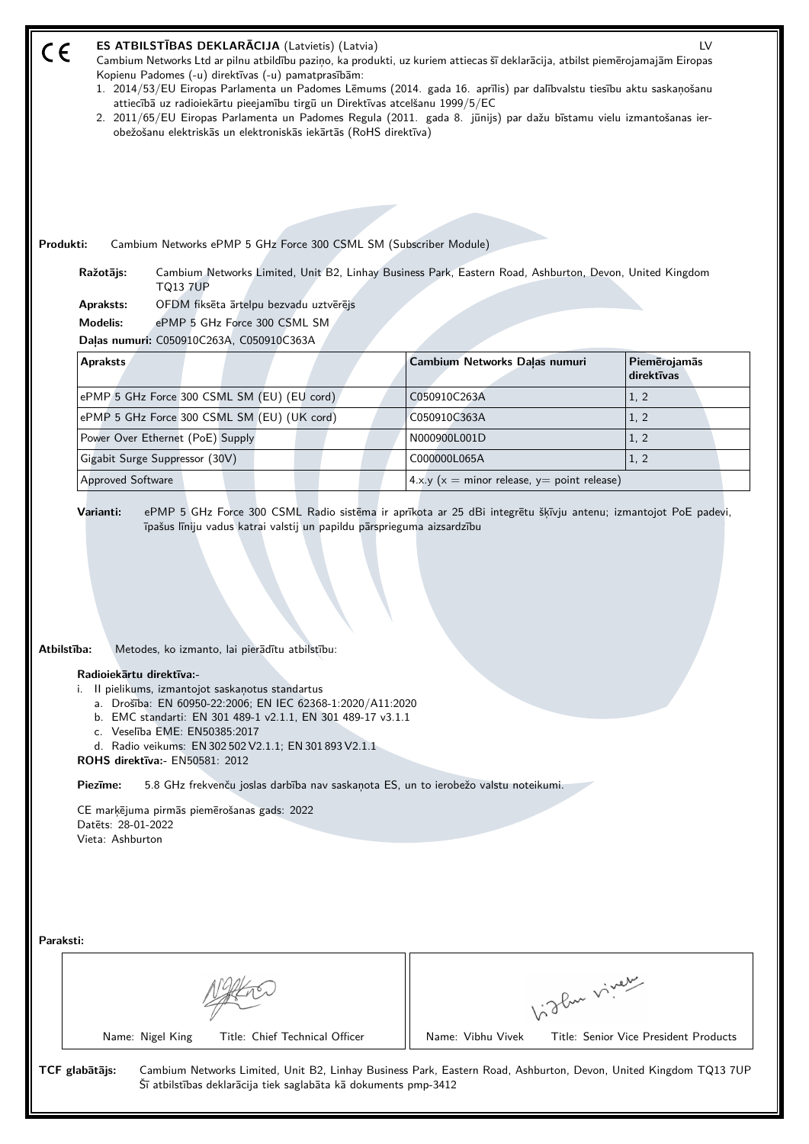| ES ATBILSTĪBAS DEKLARĀCIJA (Latvietis) (Latvia)<br>C€<br>Cambium Networks Ltd ar pilnu atbildību paziņo, ka produkti, uz kuriem attiecas šī deklarācija, atbilst piemērojamajām Eiropas<br>Kopienu Padomes (-u) direktīvas (-u) pamatprasībām:<br>1. 2014/53/EU Eiropas Parlamenta un Padomes Lēmums (2014. gada 16. aprīlis) par dalībvalstu tiesību aktu saskaņošanu<br>attiecībā uz radioiekārtu pieejamību tirgū un Direktīvas atcelšanu 1999/5/EC<br>2. 2011/65/EU Eiropas Parlamenta un Padomes Regula (2011. gada 8. jūnijs) par dažu bīstamu vielu izmantošanas ier-<br>obežošanu elektriskās un elektroniskās iekārtās (RoHS direktīva)<br>Produkti:<br>Cambium Networks ePMP 5 GHz Force 300 CSML SM (Subscriber Module)<br>Ražotājs: | Cambium Networks Limited, Unit B2, Linhay Business Park, Eastern Road, Ashburton, Devon, United Kingdom                               | LV                                    |  |  |
|-------------------------------------------------------------------------------------------------------------------------------------------------------------------------------------------------------------------------------------------------------------------------------------------------------------------------------------------------------------------------------------------------------------------------------------------------------------------------------------------------------------------------------------------------------------------------------------------------------------------------------------------------------------------------------------------------------------------------------------------------|---------------------------------------------------------------------------------------------------------------------------------------|---------------------------------------|--|--|
| <b>TQ13 7UP</b><br>OFDM fiksēta ārtelpu bezvadu uztvērējs<br>Apraksts:<br>ePMP 5 GHz Force 300 CSML SM<br><b>Modelis:</b>                                                                                                                                                                                                                                                                                                                                                                                                                                                                                                                                                                                                                       |                                                                                                                                       |                                       |  |  |
| Daļas numuri: C050910C263A, C050910C363A                                                                                                                                                                                                                                                                                                                                                                                                                                                                                                                                                                                                                                                                                                        |                                                                                                                                       |                                       |  |  |
| <b>Apraksts</b>                                                                                                                                                                                                                                                                                                                                                                                                                                                                                                                                                                                                                                                                                                                                 | Cambium Networks Daļas numuri                                                                                                         | Piemērojamās<br>direktīvas            |  |  |
| ePMP 5 GHz Force 300 CSML SM (EU) (EU cord)                                                                                                                                                                                                                                                                                                                                                                                                                                                                                                                                                                                                                                                                                                     | C050910C263A                                                                                                                          | 1, 2                                  |  |  |
| ePMP 5 GHz Force 300 CSML SM (EU) (UK cord)                                                                                                                                                                                                                                                                                                                                                                                                                                                                                                                                                                                                                                                                                                     | C050910C363A                                                                                                                          | 1, 2                                  |  |  |
| Power Over Ethernet (PoE) Supply                                                                                                                                                                                                                                                                                                                                                                                                                                                                                                                                                                                                                                                                                                                | N000900L001D                                                                                                                          | 1, 2                                  |  |  |
| Gigabit Surge Suppressor (30V)                                                                                                                                                                                                                                                                                                                                                                                                                                                                                                                                                                                                                                                                                                                  | C000000L065A                                                                                                                          | 1, 2                                  |  |  |
| <b>Approved Software</b>                                                                                                                                                                                                                                                                                                                                                                                                                                                                                                                                                                                                                                                                                                                        | 4.x.y ( $x =$ minor release, $y =$ point release)                                                                                     |                                       |  |  |
| Atbilstība:<br>Metodes, ko izmanto, lai pierādītu atbilstību:<br>Radioiekārtu direktīva:-<br>i. Il pielikums, izmantojot saskaņotus standartus<br>a. Drošība: EN 60950-22:2006; EN IEC 62368-1:2020/A11:2020<br>b. EMC standarti: EN 301 489-1 v2.1.1, EN 301 489-17 v3.1.1<br>c. Veselība EME: EN50385:2017<br>d. Radio veikums: EN 302 502 V2.1.1; EN 301 893 V2.1.1<br><b>ROHS direktīva: EN50581: 2012</b><br>Piezīme:<br>5.8 GHz frekvenču joslas darbība nav saskaņota ES, un to ierobežo valstu noteikumi.<br>CE marķējuma pirmās piemērošanas gads: 2022<br>Datets: 28-01-2022<br>Vieta: Ashburton                                                                                                                                      |                                                                                                                                       |                                       |  |  |
| Paraksti:<br>Like viney                                                                                                                                                                                                                                                                                                                                                                                                                                                                                                                                                                                                                                                                                                                         |                                                                                                                                       |                                       |  |  |
| Name: Nigel King<br>Title: Chief Technical Officer<br>TCF glabātājs:<br>Šī atbilstības deklarācija tiek saglabāta kā dokuments pmp-3412                                                                                                                                                                                                                                                                                                                                                                                                                                                                                                                                                                                                         | Name: Vibhu Vivek<br>Cambium Networks Limited, Unit B2, Linhay Business Park, Eastern Road, Ashburton, Devon, United Kingdom TQ13 7UP | Title: Senior Vice President Products |  |  |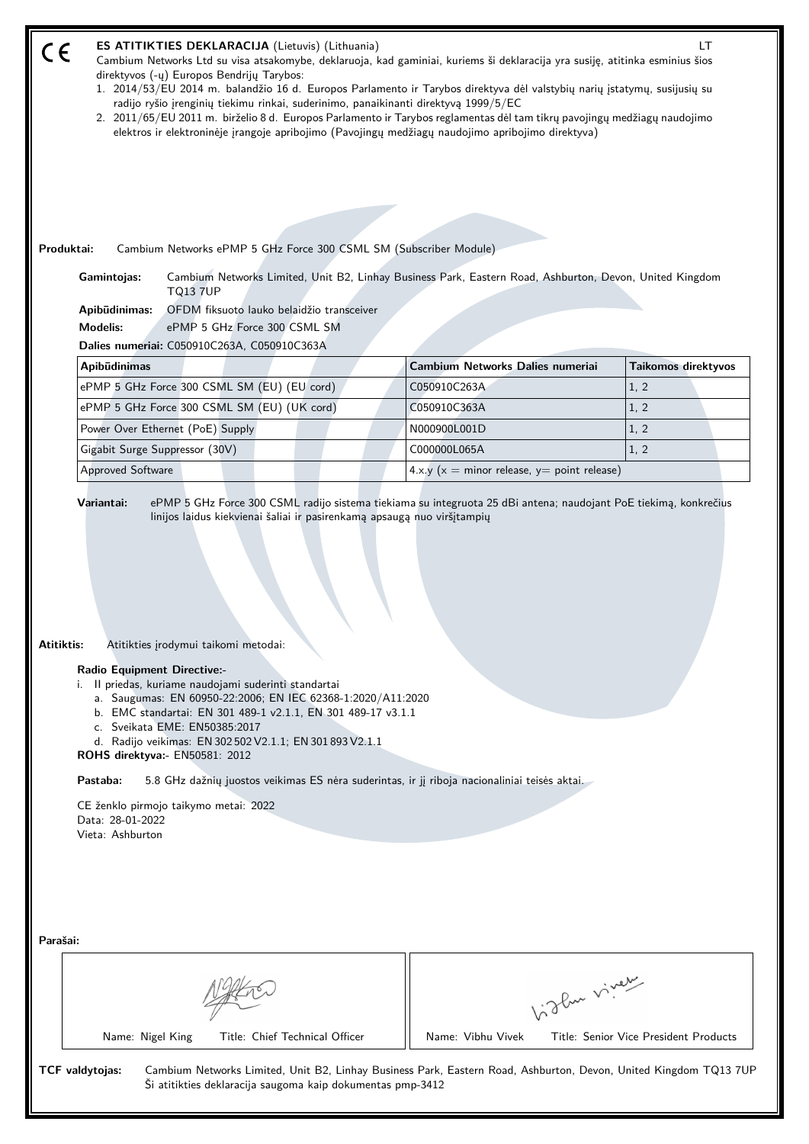| Produktai: | <b>ES ATITIKTIES DEKLARACIJA</b> (Lietuvis) (Lithuania)<br>Cambium Networks Ltd su visa atsakomybe, deklaruoja, kad gaminiai, kuriems ši deklaracija yra susiję, atitinka esminius šios<br>direktyvos (-ų) Europos Bendrijų Tarybos:<br>1. 2014/53/EU 2014 m. balandžio 16 d. Europos Parlamento ir Tarybos direktyva dėl valstybių narių įstatymų, susijusių su<br>radijo ryšio įrenginių tiekimu rinkai, suderinimo, panaikinanti direktyvą 1999/5/EC<br>2. 2011/65/EU 2011 m. birželio 8 d. Europos Parlamento ir Tarybos reglamentas dėl tam tikrų pavojingų medžiagų naudojimo<br>elektros ir elektroninėje įrangoje apribojimo (Pavojingų medžiagų naudojimo apribojimo direktyva)<br>Cambium Networks ePMP 5 GHz Force 300 CSML SM (Subscriber Module)<br>Gamintojas:<br>Cambium Networks Limited, Unit B2, Linhay Business Park, Eastern Road, Ashburton, Devon, United Kingdom<br><b>TQ13 7UP</b><br>OFDM fiksuoto lauko belaidžio transceiver<br>Apibūdinimas:<br><b>Modelis:</b><br>ePMP 5 GHz Force 300 CSML SM<br>Dalies numeriai: C050910C263A, C050910C363A |                                                   | LT                  |  |
|------------|----------------------------------------------------------------------------------------------------------------------------------------------------------------------------------------------------------------------------------------------------------------------------------------------------------------------------------------------------------------------------------------------------------------------------------------------------------------------------------------------------------------------------------------------------------------------------------------------------------------------------------------------------------------------------------------------------------------------------------------------------------------------------------------------------------------------------------------------------------------------------------------------------------------------------------------------------------------------------------------------------------------------------------------------------------------------------|---------------------------------------------------|---------------------|--|
|            | Apibūdinimas                                                                                                                                                                                                                                                                                                                                                                                                                                                                                                                                                                                                                                                                                                                                                                                                                                                                                                                                                                                                                                                               | Cambium Networks Dalies numeriai                  | Taikomos direktyvos |  |
|            | ePMP 5 GHz Force 300 CSML SM (EU) (EU cord)                                                                                                                                                                                                                                                                                                                                                                                                                                                                                                                                                                                                                                                                                                                                                                                                                                                                                                                                                                                                                                | C050910C263A                                      | 1, 2                |  |
|            | ePMP 5 GHz Force 300 CSML SM (EU) (UK cord)                                                                                                                                                                                                                                                                                                                                                                                                                                                                                                                                                                                                                                                                                                                                                                                                                                                                                                                                                                                                                                | C050910C363A                                      | 1, 2                |  |
|            | Power Over Ethernet (PoE) Supply                                                                                                                                                                                                                                                                                                                                                                                                                                                                                                                                                                                                                                                                                                                                                                                                                                                                                                                                                                                                                                           | N000900L001D                                      | 1, 2                |  |
|            | Gigabit Surge Suppressor (30V)                                                                                                                                                                                                                                                                                                                                                                                                                                                                                                                                                                                                                                                                                                                                                                                                                                                                                                                                                                                                                                             | C000000L065A                                      | 1, 2                |  |
|            | Approved Software                                                                                                                                                                                                                                                                                                                                                                                                                                                                                                                                                                                                                                                                                                                                                                                                                                                                                                                                                                                                                                                          | 4.x.y ( $x =$ minor release, $y =$ point release) |                     |  |
| Atitiktis: | Atitikties įrodymui taikomi metodai:<br><b>Radio Equipment Directive:-</b><br>i. Il priedas, kuriame naudojami suderinti standartai<br>a. Saugumas: EN 60950-22:2006; EN IEC 62368-1:2020/A11:2020<br>b. EMC standartai: EN 301 489-1 v2.1.1, EN 301 489-17 v3.1.1<br>c. Sveikata EME: EN50385:2017<br>d. Radijo veikimas: EN 302 502 V2.1.1; EN 301 893 V2.1.1<br>ROHS direktyva:- EN50581: 2012<br>Pastaba:<br>5.8 GHz dažnių juostos veikimas ES nėra suderintas, ir jį riboja nacionaliniai teisės aktai.<br>CE ženklo pirmojo taikymo metai: 2022<br>Data: 28-01-2022<br>Vieta: Ashburton                                                                                                                                                                                                                                                                                                                                                                                                                                                                             |                                                   |                     |  |
| Parašai:   | Title: Chief Technical Officer<br>Name: Nigel King                                                                                                                                                                                                                                                                                                                                                                                                                                                                                                                                                                                                                                                                                                                                                                                                                                                                                                                                                                                                                         | Vidley viner<br>Name: Vibhu Vivek                 |                     |  |
|            | Title: Senior Vice President Products<br>TCF valdytojas:<br>Cambium Networks Limited, Unit B2, Linhay Business Park, Eastern Road, Ashburton, Devon, United Kingdom TQ13 7UP<br>Ši atitikties deklaracija saugoma kaip dokumentas pmp-3412                                                                                                                                                                                                                                                                                                                                                                                                                                                                                                                                                                                                                                                                                                                                                                                                                                 |                                                   |                     |  |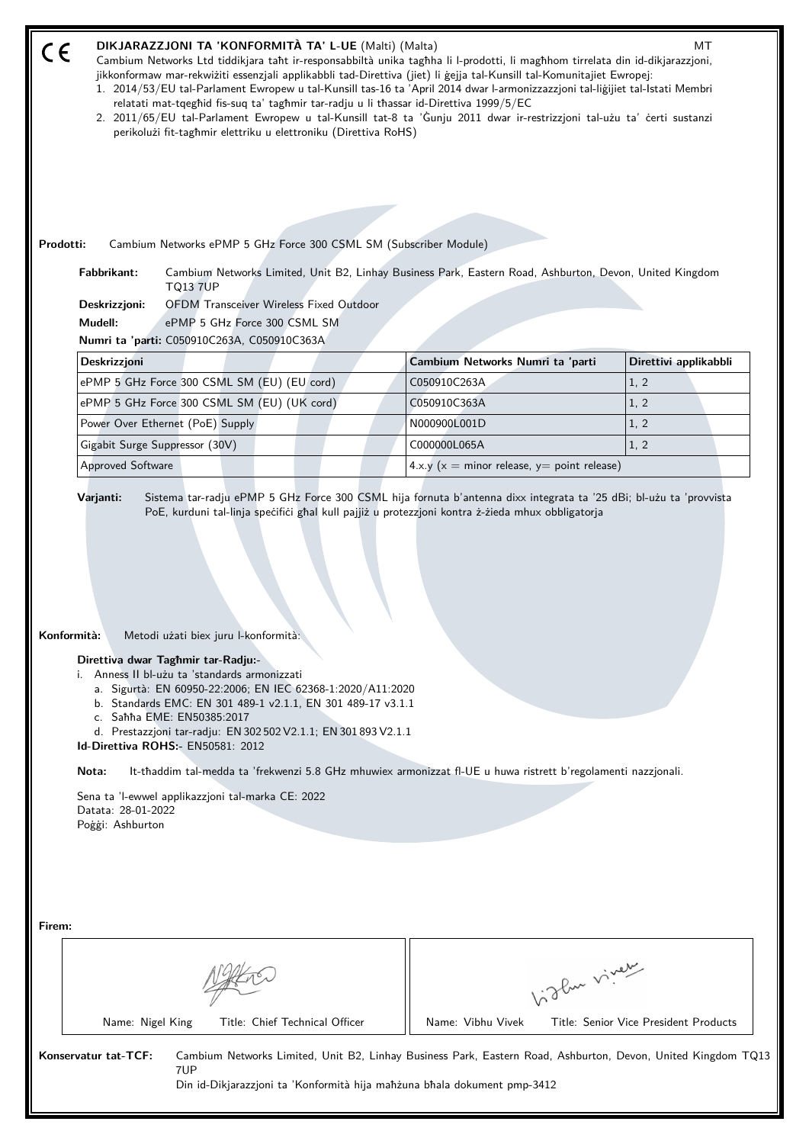| DIKJARAZZJONI TA 'KONFORMITÀ TA' L-UE (Malti) (Malta)<br>MT<br>C€<br>Cambium Networks Ltd tiddikjara taht ir-responsabbiltà unika taghha li l-prodotti, li maghhom tirrelata din id-dikjarazzjoni,<br>jikkonformaw mar-rekwiżiti essenzjali applikabbli tad-Direttiva (jiet) li gejja tal-Kunsill tal-Komunitajiet Ewropej:<br>1. 2014/53/EU tal-Parlament Ewropew u tal-Kunsill tas-16 ta 'April 2014 dwar l-armonizzazzjoni tal-liğijiet tal-Istati Membri<br>relatati mat-tqeghid fis-suq ta' taghmir tar-radju u li thassar id-Direttiva 1999/5/EC<br>2. 2011/65/EU tal-Parlament Ewropew u tal-Kunsill tat-8 ta 'Gunju 2011 dwar ir-restrizzjoni tal-użu ta' certi sustanzi<br>perikolużi fit-taghmir elettriku u elettroniku (Direttiva RoHS) |                                |                                                                                                         |              |                                                                                                              |
|-----------------------------------------------------------------------------------------------------------------------------------------------------------------------------------------------------------------------------------------------------------------------------------------------------------------------------------------------------------------------------------------------------------------------------------------------------------------------------------------------------------------------------------------------------------------------------------------------------------------------------------------------------------------------------------------------------------------------------------------------------|--------------------------------|---------------------------------------------------------------------------------------------------------|--------------|--------------------------------------------------------------------------------------------------------------|
| Prodotti:<br>Cambium Networks ePMP 5 GHz Force 300 CSML SM (Subscriber Module)                                                                                                                                                                                                                                                                                                                                                                                                                                                                                                                                                                                                                                                                      |                                |                                                                                                         |              |                                                                                                              |
| Fabbrikant:<br><b>TQ13 7UP</b><br><b>OFDM</b> Transceiver Wireless Fixed Outdoor<br>Deskrizzjoni:<br>Mudell:<br>ePMP 5 GHz Force 300 CSML SM                                                                                                                                                                                                                                                                                                                                                                                                                                                                                                                                                                                                        |                                | Cambium Networks Limited, Unit B2, Linhay Business Park, Eastern Road, Ashburton, Devon, United Kingdom |              |                                                                                                              |
| Numri ta 'parti: C050910C263A, C050910C363A                                                                                                                                                                                                                                                                                                                                                                                                                                                                                                                                                                                                                                                                                                         |                                |                                                                                                         |              |                                                                                                              |
| <b>Deskrizzjoni</b>                                                                                                                                                                                                                                                                                                                                                                                                                                                                                                                                                                                                                                                                                                                                 |                                | Cambium Networks Numri ta 'parti                                                                        |              | Direttivi applikabbli                                                                                        |
| ePMP 5 GHz Force 300 CSML SM (EU) (EU cord)                                                                                                                                                                                                                                                                                                                                                                                                                                                                                                                                                                                                                                                                                                         |                                | C050910C263A                                                                                            |              | 1, 2                                                                                                         |
| ePMP 5 GHz Force 300 CSML SM (EU) (UK cord)                                                                                                                                                                                                                                                                                                                                                                                                                                                                                                                                                                                                                                                                                                         |                                | C050910C363A                                                                                            |              | 1, 2                                                                                                         |
| Power Over Ethernet (PoE) Supply                                                                                                                                                                                                                                                                                                                                                                                                                                                                                                                                                                                                                                                                                                                    |                                | N000900L001D                                                                                            |              | 1, 2                                                                                                         |
| Gigabit Surge Suppressor (30V)                                                                                                                                                                                                                                                                                                                                                                                                                                                                                                                                                                                                                                                                                                                      |                                | C000000L065A                                                                                            |              | 1, 2                                                                                                         |
| <b>Approved Software</b>                                                                                                                                                                                                                                                                                                                                                                                                                                                                                                                                                                                                                                                                                                                            |                                | 4.x.y ( $x =$ minor release, $y =$ point release)                                                       |              |                                                                                                              |
| Metodi użati biex juru l-konformità:<br>Konformità:<br>Direttiva dwar Taghmir tar-Radju:-<br>i. Anness II bl-użu ta 'standards armonizzati<br>a. Sigurtà: EN 60950-22:2006; EN IEC 62368-1:2020/A11:2020<br>b. Standards EMC: EN 301 489-1 v2.1.1, EN 301 489-17 v3.1.1<br>c. Sahha EME: EN50385:2017<br>d. Prestazzjoni tar-radju: EN 302 502 V2.1.1; EN 301 893 V2.1.1<br>Id-Direttiva ROHS:- EN50581: 2012<br>It-thaddim tal-medda ta 'frekwenzi 5.8 GHz mhuwiex armonizzat fl-UE u huwa ristrett b'regolamenti nazzjonali.<br>Nota:<br>Sena ta 'l-ewwel applikazzioni tal-marka CE: 2022<br>Datata: 28-01-2022<br>Poġġi: Ashburton                                                                                                              |                                |                                                                                                         |              |                                                                                                              |
| Firem:                                                                                                                                                                                                                                                                                                                                                                                                                                                                                                                                                                                                                                                                                                                                              |                                |                                                                                                         | higher viney |                                                                                                              |
| Name: Nigel King                                                                                                                                                                                                                                                                                                                                                                                                                                                                                                                                                                                                                                                                                                                                    | Title: Chief Technical Officer | Name: Vibhu Vivek                                                                                       |              | Title: Senior Vice President Products                                                                        |
| Konservatur tat-TCF:<br>7UP                                                                                                                                                                                                                                                                                                                                                                                                                                                                                                                                                                                                                                                                                                                         |                                | Din id-Dikjarazzjoni ta 'Konformità hija mahzuna bhala dokument pmp-3412                                |              | Cambium Networks Limited, Unit B2, Linhay Business Park, Eastern Road, Ashburton, Devon, United Kingdom TQ13 |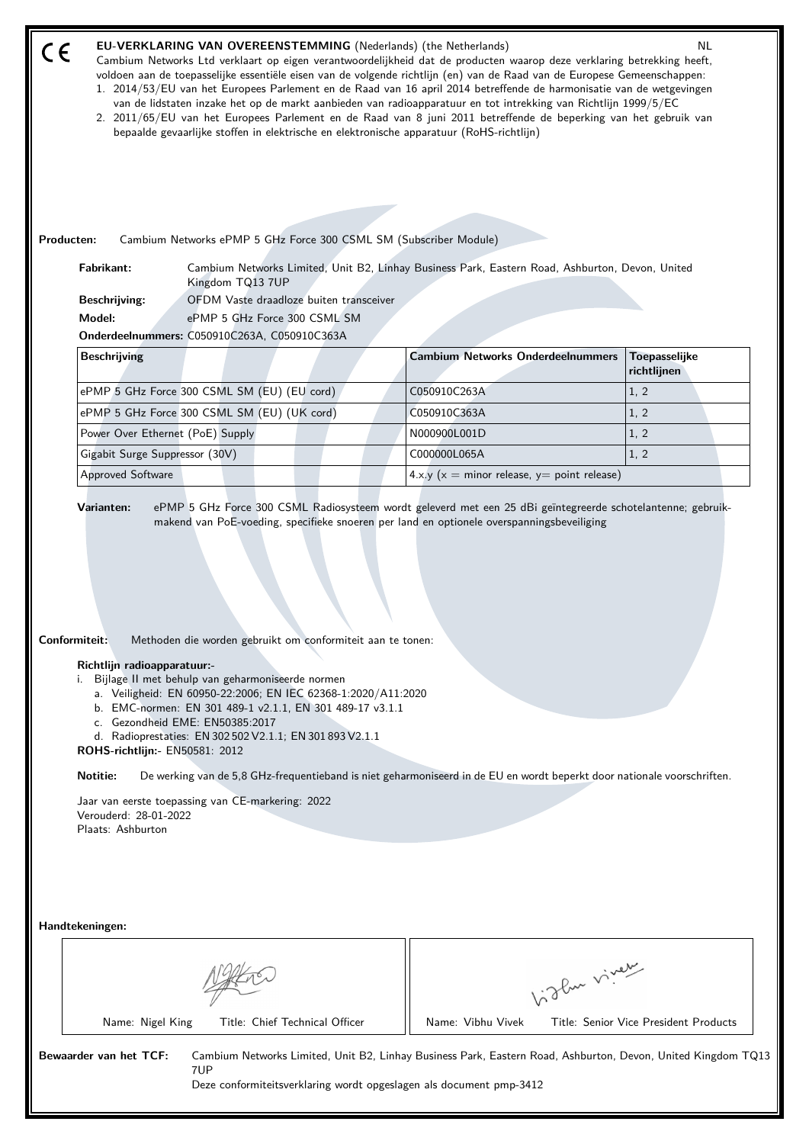| <b>EU-VERKLARING VAN OVEREENSTEMMING</b> (Nederlands) (the Netherlands)<br>NL.<br>CE<br>Cambium Networks Ltd verklaart op eigen verantwoordelijkheid dat de producten waarop deze verklaring betrekking heeft,<br>voldoen aan de toepasselijke essentiële eisen van de volgende richtlijn (en) van de Raad van de Europese Gemeenschappen:<br>1. 2014/53/EU van het Europees Parlement en de Raad van 16 april 2014 betreffende de harmonisatie van de wetgevingen<br>van de lidstaten inzake het op de markt aanbieden van radioapparatuur en tot intrekking van Richtlijn 1999/5/EC<br>2. 2011/65/EU van het Europees Parlement en de Raad van 8 juni 2011 betreffende de beperking van het gebruik van<br>bepaalde gevaarlijke stoffen in elektrische en elektronische apparatuur (RoHS-richtlijn) |                  |                                                                         |                                                                                                 |                                       |
|-------------------------------------------------------------------------------------------------------------------------------------------------------------------------------------------------------------------------------------------------------------------------------------------------------------------------------------------------------------------------------------------------------------------------------------------------------------------------------------------------------------------------------------------------------------------------------------------------------------------------------------------------------------------------------------------------------------------------------------------------------------------------------------------------------|------------------|-------------------------------------------------------------------------|-------------------------------------------------------------------------------------------------|---------------------------------------|
| Producten:                                                                                                                                                                                                                                                                                                                                                                                                                                                                                                                                                                                                                                                                                                                                                                                            |                  |                                                                         | Cambium Networks ePMP 5 GHz Force 300 CSML SM (Subscriber Module)                               |                                       |
| Fabrikant:                                                                                                                                                                                                                                                                                                                                                                                                                                                                                                                                                                                                                                                                                                                                                                                            | Kingdom TQ13 7UP |                                                                         | Cambium Networks Limited, Unit B2, Linhay Business Park, Eastern Road, Ashburton, Devon, United |                                       |
| <b>Beschrijving:</b><br>Model:                                                                                                                                                                                                                                                                                                                                                                                                                                                                                                                                                                                                                                                                                                                                                                        |                  | OFDM Vaste draadloze buiten transceiver<br>ePMP 5 GHz Force 300 CSML SM |                                                                                                 |                                       |
| Onderdeelnummers: C050910C263A, C050910C363A                                                                                                                                                                                                                                                                                                                                                                                                                                                                                                                                                                                                                                                                                                                                                          |                  |                                                                         |                                                                                                 |                                       |
| <b>Beschrijving</b>                                                                                                                                                                                                                                                                                                                                                                                                                                                                                                                                                                                                                                                                                                                                                                                   |                  |                                                                         | <b>Cambium Networks Onderdeelnummers</b>                                                        | Toepasselijke<br>richtlijnen          |
| ePMP 5 GHz Force 300 CSML SM (EU) (EU cord)                                                                                                                                                                                                                                                                                                                                                                                                                                                                                                                                                                                                                                                                                                                                                           |                  |                                                                         | C050910C263A                                                                                    | 1, 2                                  |
| ePMP 5 GHz Force 300 CSML SM (EU) (UK cord)                                                                                                                                                                                                                                                                                                                                                                                                                                                                                                                                                                                                                                                                                                                                                           |                  |                                                                         | C050910C363A                                                                                    | 1, 2                                  |
| Power Over Ethernet (PoE) Supply                                                                                                                                                                                                                                                                                                                                                                                                                                                                                                                                                                                                                                                                                                                                                                      |                  |                                                                         | N000900L001D                                                                                    | 1, 2                                  |
| Gigabit Surge Suppressor (30V)                                                                                                                                                                                                                                                                                                                                                                                                                                                                                                                                                                                                                                                                                                                                                                        |                  |                                                                         | C000000L065A                                                                                    | 1, 2                                  |
| <b>Approved Software</b>                                                                                                                                                                                                                                                                                                                                                                                                                                                                                                                                                                                                                                                                                                                                                                              |                  |                                                                         | 4.x.y ( $x =$ minor release, $y =$ point release)                                               |                                       |
| Contormiteit:<br>Methoden die worden gebruikt om conformiteit aan te tonen:<br>Richtlijn radioapparatuur:-<br>i. Bijlage II met behulp van geharmoniseerde normen<br>a. Veiligheid: EN 60950-22:2006; EN IEC 62368-1:2020/A11:2020<br>b. EMC-normen: EN 301 489-1 v2.1.1, EN 301 489-17 v3.1.1<br>c. Gezondheid EME: EN50385:2017<br>d. Radioprestaties: EN 302 502 V2.1.1; EN 301 893 V2.1.1<br>ROHS-richtlijn:- EN50581: 2012<br>Notitie:<br>De werking van de 5,8 GHz-frequentieband is niet geharmoniseerd in de EU en wordt beperkt door nationale voorschriften.<br>Jaar van eerste toepassing van CE-markering: 2022<br>Verouderd: 28-01-2022<br>Plaats: Ashburton                                                                                                                             |                  |                                                                         |                                                                                                 |                                       |
| Handtekeningen:                                                                                                                                                                                                                                                                                                                                                                                                                                                                                                                                                                                                                                                                                                                                                                                       |                  |                                                                         | Vidlen viner                                                                                    |                                       |
| Name: Nigel King                                                                                                                                                                                                                                                                                                                                                                                                                                                                                                                                                                                                                                                                                                                                                                                      |                  | Title: Chief Technical Officer                                          | Name: Vibhu Vivek                                                                               | Title: Senior Vice President Products |
| Bewaarder van het TCF:<br>Cambium Networks Limited, Unit B2, Linhay Business Park, Eastern Road, Ashburton, Devon, United Kingdom TQ13<br>7UP<br>Deze conformiteitsverklaring wordt opgeslagen als document pmp-3412                                                                                                                                                                                                                                                                                                                                                                                                                                                                                                                                                                                  |                  |                                                                         |                                                                                                 |                                       |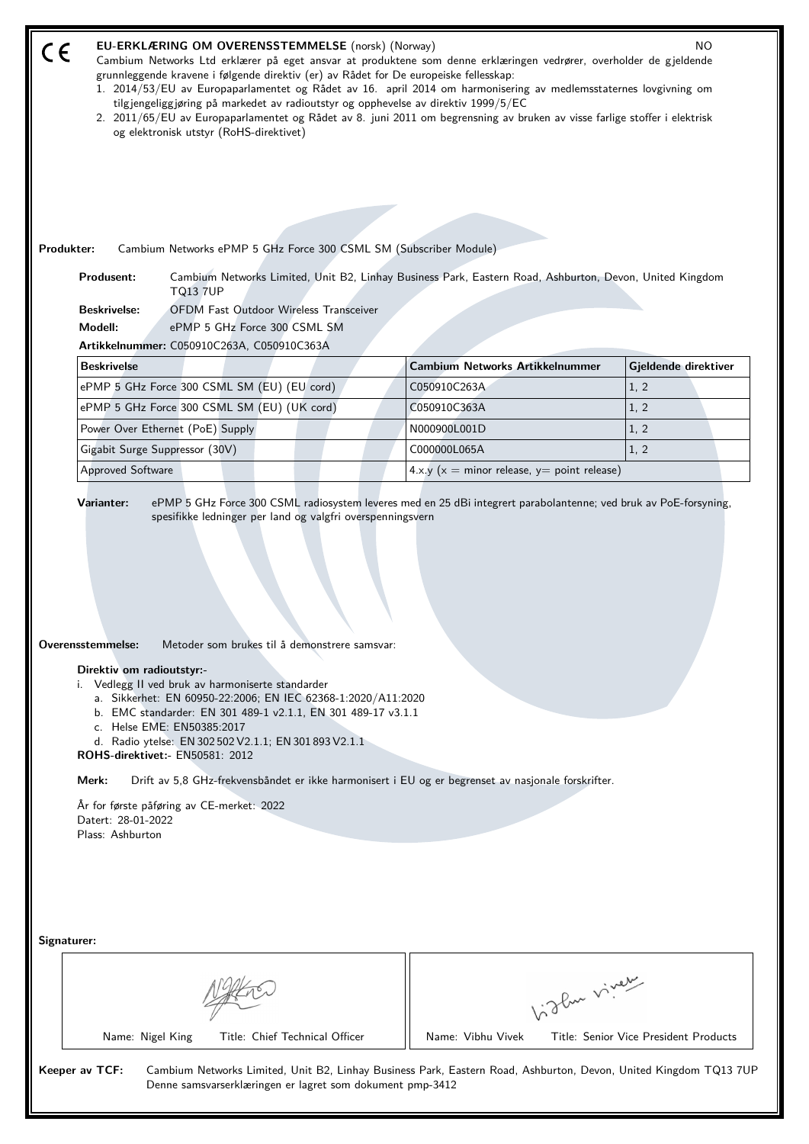| Produkter:  | EU-ERKLÆRING OM OVERENSSTEMMELSE (norsk) (Norway)<br>Cambium Networks Ltd erklærer på eget ansvar at produktene som denne erklæringen vedrører, overholder de gjeldende<br>grunnleggende kravene i følgende direktiv (er) av Rådet for De europeiske fellesskap:<br>1. 2014/53/EU av Europaparlamentet og Rådet av 16. april 2014 om harmonisering av medlemsstaternes lovgivning om<br>tilgjengeliggjøring på markedet av radioutstyr og opphevelse av direktiv 1999/5/EC<br>2. 2011/65/EU av Europaparlamentet og Rådet av 8. juni 2011 om begrensning av bruken av visse farlige stoffer i elektrisk<br>og elektronisk utstyr (RoHS-direktivet)<br>Cambium Networks ePMP 5 GHz Force 300 CSML SM (Subscriber Module)<br>Produsent:<br><b>TQ13 7UP</b><br><b>OFDM Fast Outdoor Wireless Transceiver</b><br><b>Beskrivelse:</b><br>Modell:<br>ePMP 5 GHz Force 300 CSML SM<br>Artikkelnummer: C050910C263A, C050910C363A | Cambium Networks Limited, Unit B2, Linhay Business Park, Eastern Road, Ashburton, Devon, United Kingdom | NO.                                   |  |  |
|-------------|---------------------------------------------------------------------------------------------------------------------------------------------------------------------------------------------------------------------------------------------------------------------------------------------------------------------------------------------------------------------------------------------------------------------------------------------------------------------------------------------------------------------------------------------------------------------------------------------------------------------------------------------------------------------------------------------------------------------------------------------------------------------------------------------------------------------------------------------------------------------------------------------------------------------------|---------------------------------------------------------------------------------------------------------|---------------------------------------|--|--|
|             | <b>Beskrivelse</b>                                                                                                                                                                                                                                                                                                                                                                                                                                                                                                                                                                                                                                                                                                                                                                                                                                                                                                        | <b>Cambium Networks Artikkelnummer</b>                                                                  | Gjeldende direktiver                  |  |  |
|             | ePMP 5 GHz Force 300 CSML SM (EU) (EU cord)                                                                                                                                                                                                                                                                                                                                                                                                                                                                                                                                                                                                                                                                                                                                                                                                                                                                               | C050910C263A                                                                                            | 1, 2                                  |  |  |
|             | ePMP 5 GHz Force 300 CSML SM (EU) (UK cord)                                                                                                                                                                                                                                                                                                                                                                                                                                                                                                                                                                                                                                                                                                                                                                                                                                                                               | C050910C363A                                                                                            | 1, 2                                  |  |  |
|             | Power Over Ethernet (PoE) Supply                                                                                                                                                                                                                                                                                                                                                                                                                                                                                                                                                                                                                                                                                                                                                                                                                                                                                          | N000900L001D                                                                                            | 1, 2                                  |  |  |
|             | Gigabit Surge Suppressor (30V)<br>Approved Software                                                                                                                                                                                                                                                                                                                                                                                                                                                                                                                                                                                                                                                                                                                                                                                                                                                                       | C000000L065A<br>4.x.y ( $x =$ minor release, $y =$ point release)                                       | 1, 2                                  |  |  |
| Signaturer: | ePMP 5 GHz Force 300 CSML radiosystem leveres med en 25 dBi integrert parabolantenne; ved bruk av PoE-forsyning,<br>Varianter:<br>spesifikke ledninger per land og valgfri overspenningsvern<br>Overensstemmelse:<br>Metoder som brukes til å demonstrere samsvar:<br>Direktiv om radioutstyr:-<br>i. Vedlegg II ved bruk av harmoniserte standarder<br>a. Sikkerhet: EN 60950-22:2006; EN IEC 62368-1:2020/A11:2020<br>b. EMC standarder: EN 301 489-1 v2.1.1, EN 301 489-17 v3.1.1<br>c. Helse EME: EN50385:2017<br>d. Radio ytelse: EN 302 502 V2.1.1; EN 301 893 V2.1.1<br><b>ROHS-direktivet:- EN50581: 2012</b><br>Merk:<br>Drift av 5,8 GHz-frekvensbåndet er ikke harmonisert i EU og er begrenset av nasjonale forskrifter.<br>År for første påføring av CE-merket: 2022<br>Datert: 28-01-2022<br>Plass: Ashburton                                                                                               |                                                                                                         |                                       |  |  |
|             |                                                                                                                                                                                                                                                                                                                                                                                                                                                                                                                                                                                                                                                                                                                                                                                                                                                                                                                           |                                                                                                         |                                       |  |  |
|             |                                                                                                                                                                                                                                                                                                                                                                                                                                                                                                                                                                                                                                                                                                                                                                                                                                                                                                                           | Vigler virey                                                                                            |                                       |  |  |
|             | Title: Chief Technical Officer<br>Name: Nigel King                                                                                                                                                                                                                                                                                                                                                                                                                                                                                                                                                                                                                                                                                                                                                                                                                                                                        | Name: Vibhu Vivek                                                                                       | Title: Senior Vice President Products |  |  |
|             | Keeper av TCF:<br>Cambium Networks Limited, Unit B2, Linhay Business Park, Eastern Road, Ashburton, Devon, United Kingdom TQ13 7UP<br>Denne samsvarserklæringen er lagret som dokument pmp-3412                                                                                                                                                                                                                                                                                                                                                                                                                                                                                                                                                                                                                                                                                                                           |                                                                                                         |                                       |  |  |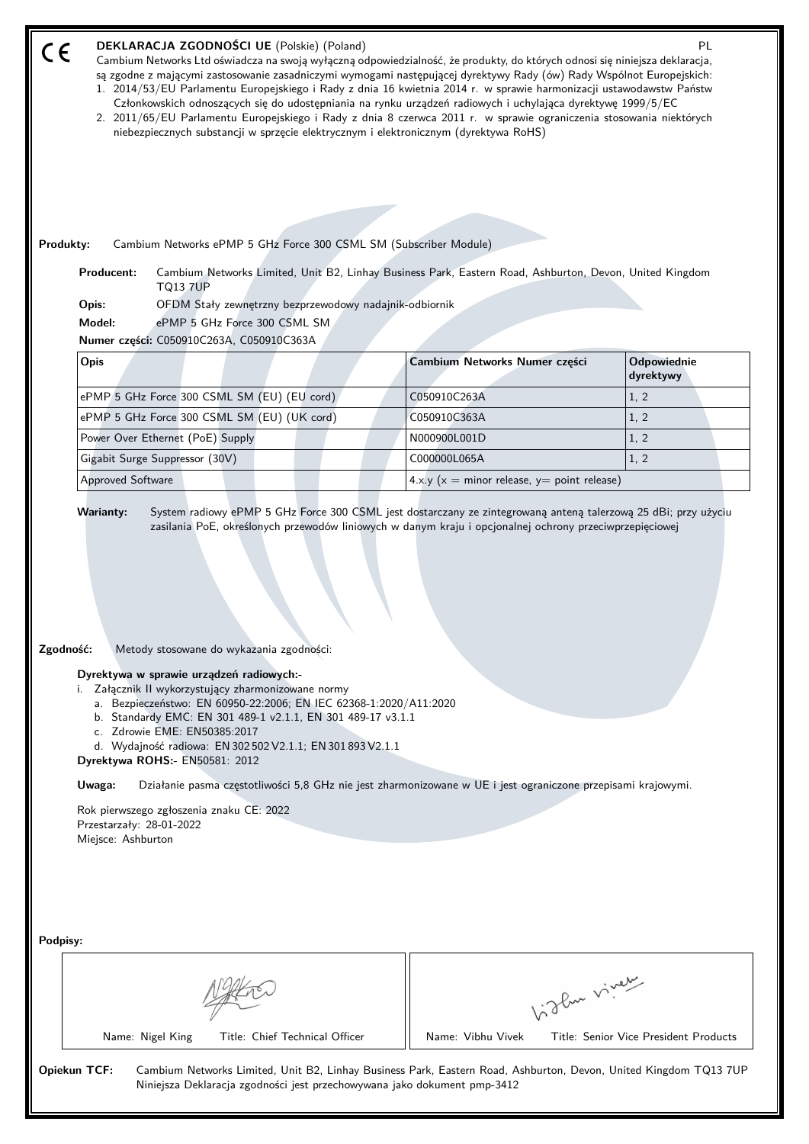|           | DEKLARACJA ZGODNOŚCI UE (Polskie) (Poland)<br>PL<br>$C \in$<br>Cambium Networks Ltd oświadcza na swoją wyłączną odpowiedzialność, że produkty, do których odnosi się niniejsza deklaracja,<br>są zgodne z mającymi zastosowanie zasadniczymi wymogami następującej dyrektywy Rady (ów) Rady Wspólnot Europejskich:<br>1. 2014/53/EU Parlamentu Europejskiego i Rady z dnia 16 kwietnia 2014 r. w sprawie harmonizacji ustawodawstw Państw<br>Członkowskich odnoszących się do udostępniania na rynku urządzeń radiowych i uchylająca dyrektywę 1999/5/EC<br>2. 2011/65/EU Parlamentu Europejskiego i Rady z dnia 8 czerwca 2011 r. w sprawie ograniczenia stosowania niektórych<br>niebezpiecznych substancji w sprzęcie elektrycznym i elektronicznym (dyrektywa RoHS) |                                                   |                                       |  |  |
|-----------|-------------------------------------------------------------------------------------------------------------------------------------------------------------------------------------------------------------------------------------------------------------------------------------------------------------------------------------------------------------------------------------------------------------------------------------------------------------------------------------------------------------------------------------------------------------------------------------------------------------------------------------------------------------------------------------------------------------------------------------------------------------------------|---------------------------------------------------|---------------------------------------|--|--|
| Produkty: | Cambium Networks ePMP 5 GHz Force 300 CSML SM (Subscriber Module)                                                                                                                                                                                                                                                                                                                                                                                                                                                                                                                                                                                                                                                                                                       |                                                   |                                       |  |  |
|           | Producent:<br>Cambium Networks Limited, Unit B2, Linhay Business Park, Eastern Road, Ashburton, Devon, United Kingdom<br><b>TQ13 7UP</b>                                                                                                                                                                                                                                                                                                                                                                                                                                                                                                                                                                                                                                |                                                   |                                       |  |  |
|           | OFDM Stały zewnętrzny bezprzewodowy nadajnik-odbiornik<br>Opis:<br>Model:<br>ePMP 5 GHz Force 300 CSML SM                                                                                                                                                                                                                                                                                                                                                                                                                                                                                                                                                                                                                                                               |                                                   |                                       |  |  |
|           | Numer części: C050910C263A, C050910C363A                                                                                                                                                                                                                                                                                                                                                                                                                                                                                                                                                                                                                                                                                                                                |                                                   |                                       |  |  |
|           | Opis                                                                                                                                                                                                                                                                                                                                                                                                                                                                                                                                                                                                                                                                                                                                                                    | Cambium Networks Numer części                     | <b>Odpowiednie</b><br>dyrektywy       |  |  |
|           | ePMP 5 GHz Force 300 CSML SM (EU) (EU cord)                                                                                                                                                                                                                                                                                                                                                                                                                                                                                                                                                                                                                                                                                                                             | C050910C263A                                      | 1, 2                                  |  |  |
|           | ePMP 5 GHz Force 300 CSML SM (EU) (UK cord)                                                                                                                                                                                                                                                                                                                                                                                                                                                                                                                                                                                                                                                                                                                             | C050910C363A                                      | 1, 2                                  |  |  |
|           | Power Over Ethernet (PoE) Supply                                                                                                                                                                                                                                                                                                                                                                                                                                                                                                                                                                                                                                                                                                                                        | N000900L001D                                      | 1, 2                                  |  |  |
|           | Gigabit Surge Suppressor (30V)                                                                                                                                                                                                                                                                                                                                                                                                                                                                                                                                                                                                                                                                                                                                          | C000000L065A                                      | 1, 2                                  |  |  |
|           | <b>Approved Software</b>                                                                                                                                                                                                                                                                                                                                                                                                                                                                                                                                                                                                                                                                                                                                                | 4.x.y ( $x =$ minor release, $y =$ point release) |                                       |  |  |
|           | Zgodność:<br>Metody stosowane do wykazania zgodności:<br>Dyrektywa w sprawie urządzeń radiowych:-<br>i. Załącznik II wykorzystujący zharmonizowane normy<br>a. Bezpieczeństwo: EN 60950-22:2006; EN IEC 62368-1:2020/A11:2020<br>b. Standardy EMC: EN 301 489-1 v2.1.1, EN 301 489-17 v3.1.1<br>c. Zdrowie EME: EN50385:2017<br>d. Wydajność radiowa: EN 302 502 V2.1.1; EN 301 893 V2.1.1<br>Dyrektywa ROHS:- EN50581: 2012<br>Działanie pasma częstotliwości 5,8 GHz nie jest zharmonizowane w UE i jest ograniczone przepisami krajowymi.<br>Uwaga:<br>Rok pierwszego zgłoszenia znaku CE: 2022<br>Przestarzały: 28-01-2022                                                                                                                                          |                                                   |                                       |  |  |
| Podpisy:  | Miejsce: Ashburton                                                                                                                                                                                                                                                                                                                                                                                                                                                                                                                                                                                                                                                                                                                                                      | Vidley vivey                                      |                                       |  |  |
|           | Name: Nigel King<br>Title: Chief Technical Officer<br><b>Opiekun TCF:</b><br>Cambium Networks Limited, Unit B2, Linhay Business Park, Eastern Road, Ashburton, Devon, United Kingdom TQ13 7UP                                                                                                                                                                                                                                                                                                                                                                                                                                                                                                                                                                           | Name: Vibhu Vivek                                 | Title: Senior Vice President Products |  |  |
|           | Niniejsza Deklaracja zgodności jest przechowywana jako dokument pmp-3412                                                                                                                                                                                                                                                                                                                                                                                                                                                                                                                                                                                                                                                                                                |                                                   |                                       |  |  |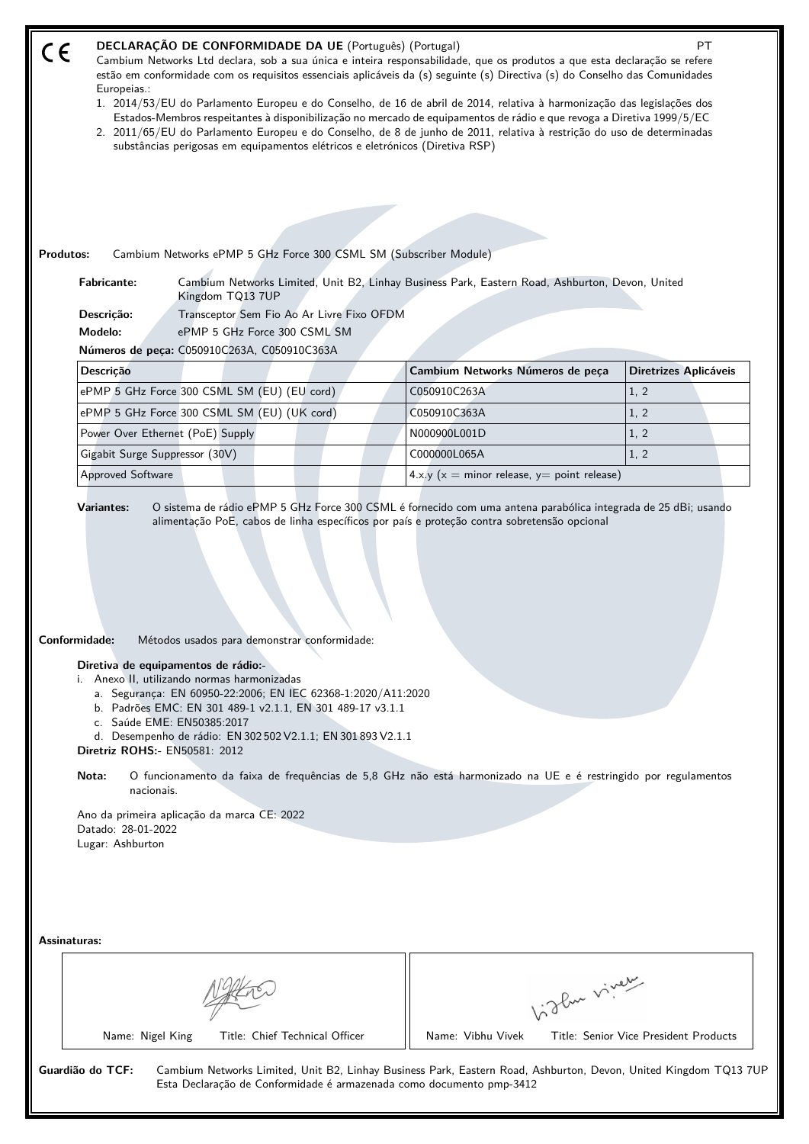|                  | Europeias.:                                                                                                                  | DECLARAÇÃO DE CONFORMIDADE DA UE (Português) (Portugal)<br>Cambium Networks Ltd declara, sob a sua única e inteira responsabilidade, que os produtos a que esta declaração se refere<br>estão em conformidade com os requisitos essenciais aplicáveis da (s) seguinte (s) Directiva (s) do Conselho das Comunidades<br>1. 2014/53/EU do Parlamento Europeu e do Conselho, de 16 de abril de 2014, relativa à harmonização das legislações dos<br>Estados-Membros respeitantes à disponibilização no mercado de equipamentos de rádio e que revoga a Diretiva 1999/5/EC<br>2. 2011/65/EU do Parlamento Europeu e do Conselho, de 8 de junho de 2011, relativa à restrição do uso de determinadas<br>substâncias perigosas em equipamentos elétricos e eletrónicos (Diretiva RSP) |                                                   | PT                                    |
|------------------|------------------------------------------------------------------------------------------------------------------------------|---------------------------------------------------------------------------------------------------------------------------------------------------------------------------------------------------------------------------------------------------------------------------------------------------------------------------------------------------------------------------------------------------------------------------------------------------------------------------------------------------------------------------------------------------------------------------------------------------------------------------------------------------------------------------------------------------------------------------------------------------------------------------------|---------------------------------------------------|---------------------------------------|
| <b>Produtos:</b> |                                                                                                                              | Cambium Networks ePMP 5 GHz Force 300 CSML SM (Subscriber Module)                                                                                                                                                                                                                                                                                                                                                                                                                                                                                                                                                                                                                                                                                                               |                                                   |                                       |
|                  | <b>Fabricante:</b>                                                                                                           | Cambium Networks Limited, Unit B2, Linhay Business Park, Eastern Road, Ashburton, Devon, United                                                                                                                                                                                                                                                                                                                                                                                                                                                                                                                                                                                                                                                                                 |                                                   |                                       |
|                  | Descrição:<br>Modelo:                                                                                                        | Kingdom TQ13 7UP<br>Transceptor Sem Fio Ao Ar Livre Fixo OFDM<br>ePMP 5 GHz Force 300 CSML SM<br>Números de peça: C050910C263A, C050910C363A                                                                                                                                                                                                                                                                                                                                                                                                                                                                                                                                                                                                                                    |                                                   |                                       |
|                  | Descrição                                                                                                                    |                                                                                                                                                                                                                                                                                                                                                                                                                                                                                                                                                                                                                                                                                                                                                                                 | Cambium Networks Números de peça                  | Diretrizes Aplicáveis                 |
|                  |                                                                                                                              | ePMP 5 GHz Force 300 CSML SM (EU) (EU cord)                                                                                                                                                                                                                                                                                                                                                                                                                                                                                                                                                                                                                                                                                                                                     | C050910C263A                                      | 1, 2                                  |
|                  |                                                                                                                              | ePMP 5 GHz Force 300 CSML SM (EU) (UK cord)                                                                                                                                                                                                                                                                                                                                                                                                                                                                                                                                                                                                                                                                                                                                     | C050910C363A                                      | 1, 2                                  |
|                  | Power Over Ethernet (PoE) Supply                                                                                             |                                                                                                                                                                                                                                                                                                                                                                                                                                                                                                                                                                                                                                                                                                                                                                                 | N000900L001D                                      | 1, 2                                  |
|                  | Gigabit Surge Suppressor (30V)                                                                                               |                                                                                                                                                                                                                                                                                                                                                                                                                                                                                                                                                                                                                                                                                                                                                                                 | C000000L065A                                      | 1, 2                                  |
|                  | Approved Software                                                                                                            |                                                                                                                                                                                                                                                                                                                                                                                                                                                                                                                                                                                                                                                                                                                                                                                 | 4.x.y ( $x =$ minor release, $y =$ point release) |                                       |
| Conformidade:    | c. Saúde EME: EN50385:2017<br>Diretriz ROHS:- EN50581: 2012<br>Nota:<br>nacionais.<br>Datado: 28-01-2022<br>Lugar: Ashburton | Métodos usados para demonstrar conformidade:<br>Diretiva de equipamentos de rádio:-<br>i. Anexo II, utilizando normas harmonizadas<br>a. Segurança: EN 60950-22:2006; EN IEC 62368-1:2020/A11:2020<br>b. Padrões EMC: EN 301 489-1 v2.1.1, EN 301 489-17 v3.1.1<br>d. Desempenho de rádio: EN 302 502 V2.1.1; EN 301 893 V2.1.1<br>O funcionamento da faixa de frequências de 5,8 GHz não está harmonizado na UE e é restringido por regulamentos<br>Ano da primeira aplicação da marca CE: 2022                                                                                                                                                                                                                                                                                |                                                   |                                       |
| Assinaturas:     |                                                                                                                              |                                                                                                                                                                                                                                                                                                                                                                                                                                                                                                                                                                                                                                                                                                                                                                                 | Vidlen viner                                      |                                       |
|                  | Name: Nigel King                                                                                                             | Title: Chief Technical Officer                                                                                                                                                                                                                                                                                                                                                                                                                                                                                                                                                                                                                                                                                                                                                  | Name: Vibhu Vivek                                 | Title: Senior Vice President Products |
|                  | Guardião do TCF:                                                                                                             | Cambium Networks Limited, Unit B2, Linhay Business Park, Eastern Road, Ashburton, Devon, United Kingdom TQ13 7UP<br>Esta Declaração de Conformidade é armazenada como documento pmp-3412                                                                                                                                                                                                                                                                                                                                                                                                                                                                                                                                                                                        |                                                   |                                       |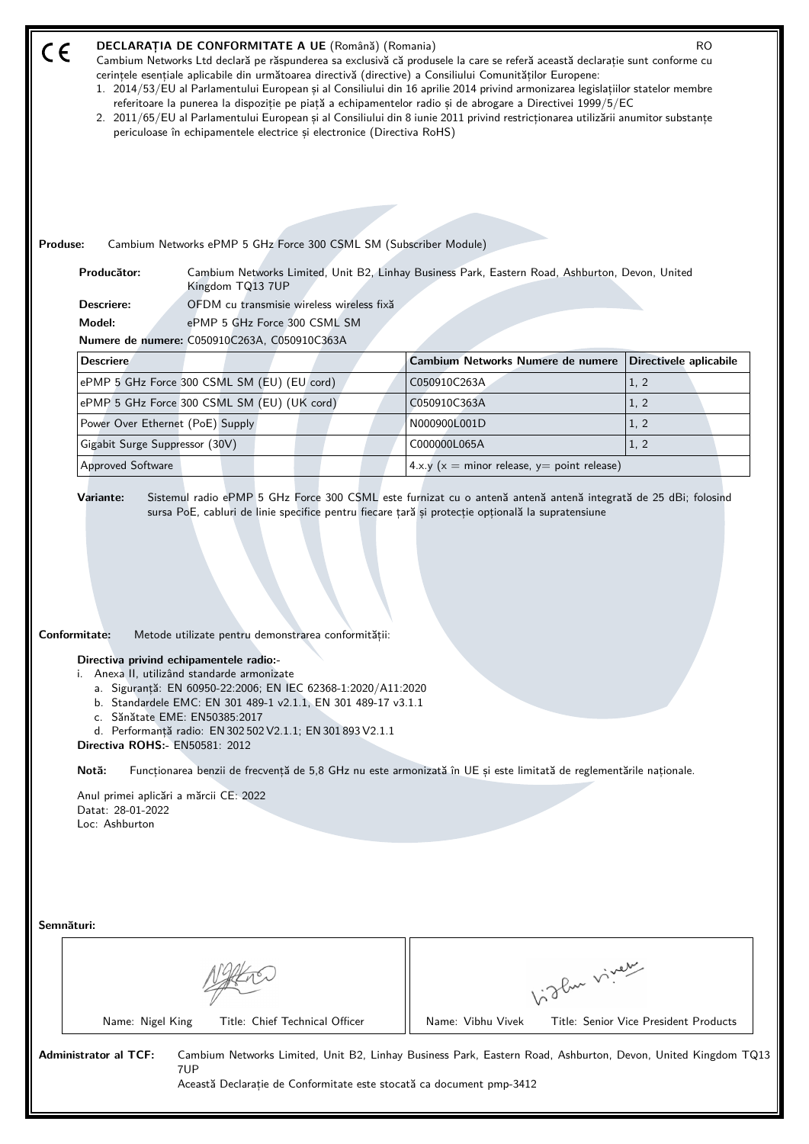| CE         | DECLARAȚIA DE CONFORMITATE A UE (Română) (Romania)<br>R <sub>O</sub><br>Cambium Networks Ltd declară pe răspunderea sa exclusivă că produsele la care se referă această declarație sunt conforme cu<br>cerințele esențiale aplicabile din următoarea directivă (directive) a Consiliului Comunităților Europene:<br>1. 2014/53/EU al Parlamentului European și al Consiliului din 16 aprilie 2014 privind armonizarea legislațiilor statelor membre<br>referitoare la punerea la dispoziție pe piață a echipamentelor radio și de abrogare a Directivei 1999/5/EC<br>2. 2011/65/EU al Parlamentului European și al Consiliului din 8 iunie 2011 privind restricționarea utilizării anumitor substanțe<br>periculoase în echipamentele electrice și electronice (Directiva RoHS) |                                                                                                 |                        |  |  |
|------------|---------------------------------------------------------------------------------------------------------------------------------------------------------------------------------------------------------------------------------------------------------------------------------------------------------------------------------------------------------------------------------------------------------------------------------------------------------------------------------------------------------------------------------------------------------------------------------------------------------------------------------------------------------------------------------------------------------------------------------------------------------------------------------|-------------------------------------------------------------------------------------------------|------------------------|--|--|
| Produse:   |                                                                                                                                                                                                                                                                                                                                                                                                                                                                                                                                                                                                                                                                                                                                                                                 |                                                                                                 |                        |  |  |
|            | Cambium Networks ePMP 5 GHz Force 300 CSML SM (Subscriber Module)<br>Producător:<br>Kingdom TQ13 7UP                                                                                                                                                                                                                                                                                                                                                                                                                                                                                                                                                                                                                                                                            | Cambium Networks Limited, Unit B2, Linhay Business Park, Eastern Road, Ashburton, Devon, United |                        |  |  |
|            | OFDM cu transmisie wireless wireless fixă<br>Descriere:                                                                                                                                                                                                                                                                                                                                                                                                                                                                                                                                                                                                                                                                                                                         |                                                                                                 |                        |  |  |
|            | Model:<br>ePMP 5 GHz Force 300 CSML SM                                                                                                                                                                                                                                                                                                                                                                                                                                                                                                                                                                                                                                                                                                                                          |                                                                                                 |                        |  |  |
|            | Numere de numere: C050910C263A, C050910C363A                                                                                                                                                                                                                                                                                                                                                                                                                                                                                                                                                                                                                                                                                                                                    |                                                                                                 |                        |  |  |
|            | <b>Descriere</b>                                                                                                                                                                                                                                                                                                                                                                                                                                                                                                                                                                                                                                                                                                                                                                | Cambium Networks Numere de numere                                                               | Directivele aplicabile |  |  |
|            | ePMP 5 GHz Force 300 CSML SM (EU) (EU cord)                                                                                                                                                                                                                                                                                                                                                                                                                                                                                                                                                                                                                                                                                                                                     | C050910C263A                                                                                    | 1, 2                   |  |  |
|            | ePMP 5 GHz Force 300 CSML SM (EU) (UK cord)                                                                                                                                                                                                                                                                                                                                                                                                                                                                                                                                                                                                                                                                                                                                     | C050910C363A                                                                                    | 1, 2                   |  |  |
|            |                                                                                                                                                                                                                                                                                                                                                                                                                                                                                                                                                                                                                                                                                                                                                                                 |                                                                                                 |                        |  |  |
|            | Power Over Ethernet (PoE) Supply                                                                                                                                                                                                                                                                                                                                                                                                                                                                                                                                                                                                                                                                                                                                                | N000900L001D                                                                                    | 1, 2                   |  |  |
|            | Gigabit Surge Suppressor (30V)                                                                                                                                                                                                                                                                                                                                                                                                                                                                                                                                                                                                                                                                                                                                                  | C000000L065A                                                                                    | 1, 2                   |  |  |
|            | <b>Approved Software</b>                                                                                                                                                                                                                                                                                                                                                                                                                                                                                                                                                                                                                                                                                                                                                        | 4.x.y ( $x =$ minor release, $y =$ point release)                                               |                        |  |  |
|            | Conformitate:<br>Metode utilizate pentru demonstrarea conformității:<br>Directiva privind echipamentele radio:-<br>i. Anexa II, utilizând standarde armonizate<br>a. Siguranță: EN 60950-22:2006; EN IEC 62368-1:2020/A11:2020<br>b. Standardele EMC: EN 301 489-1 v2.1.1, EN 301 489-17 v3.1.1<br>c. Sănătate EME: EN50385:2017<br>d. Performanță radio: EN 302 502 V2.1.1; EN 301 893 V2.1.1<br>Directiva ROHS:- EN50581: 2012<br>Notă:<br>Funcționarea benzii de frecvență de 5,8 GHz nu este armonizată în UE și este limitată de reglementările naționale.<br>Anul primei aplicări a mărcii CE: 2022<br>Datat: 28-01-2022<br>Loc: Ashburton                                                                                                                                |                                                                                                 |                        |  |  |
| Semnături: |                                                                                                                                                                                                                                                                                                                                                                                                                                                                                                                                                                                                                                                                                                                                                                                 | Light vivey                                                                                     |                        |  |  |
|            | Title: Chief Technical Officer<br>Name: Nigel King                                                                                                                                                                                                                                                                                                                                                                                                                                                                                                                                                                                                                                                                                                                              | Name: Vibhu Vivek                                                                               |                        |  |  |
|            | Title: Senior Vice President Products<br><b>Administrator al TCF:</b><br>Cambium Networks Limited, Unit B2, Linhay Business Park, Eastern Road, Ashburton, Devon, United Kingdom TQ13<br>7UP<br>Această Declarație de Conformitate este stocată ca document pmp-3412                                                                                                                                                                                                                                                                                                                                                                                                                                                                                                            |                                                                                                 |                        |  |  |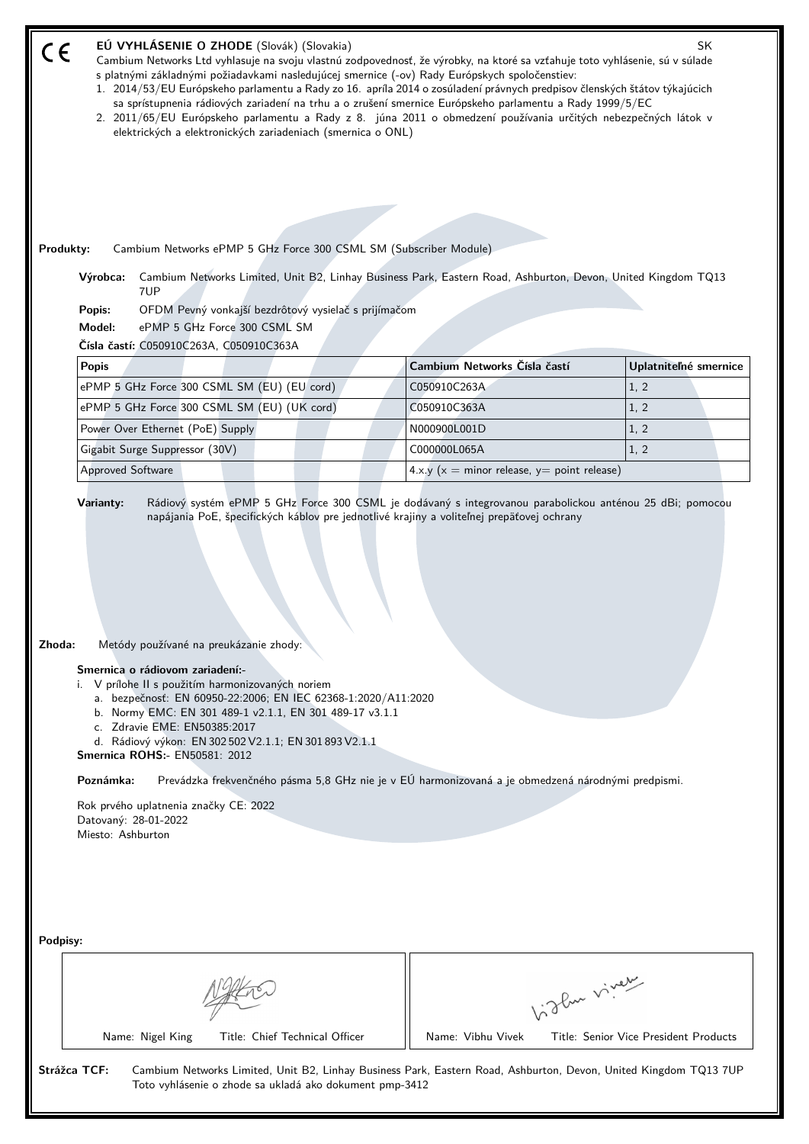| EÚ VYHLÁSENIE O ZHODE (Slovák) (Slovakia)<br>SK<br>Cambium Networks Ltd vyhlasuje na svoju vlastnú zodpovednosť, že výrobky, na ktoré sa vzťahuje toto vyhlásenie, sú v súlade<br>s platnými základnými požiadavkami nasledujúcej smernice (-ov) Rady Európskych spoločenstiev:<br>1. 2014/53/EU Európskeho parlamentu a Rady zo 16. apríla 2014 o zosúladení právnych predpisov členských štátov týkajúcich<br>sa sprístupnenia rádiových zariadení na trhu a o zrušení smernice Európskeho parlamentu a Rady 1999/5/EC<br>2. 2011/65/EU Európskeho parlamentu a Rady z 8. júna 2011 o obmedzení používania určitých nebezpečných látok v<br>elektrických a elektronických zariadeniach (smernica o ONL)<br>Cambium Networks ePMP 5 GHz Force 300 CSML SM (Subscriber Module)<br>Produkty:<br>Cambium Networks Limited, Unit B2, Linhay Business Park, Eastern Road, Ashburton, Devon, United Kingdom TQ13<br>Výrobca:<br>7UP |                                                   |                                       |  |  |
|--------------------------------------------------------------------------------------------------------------------------------------------------------------------------------------------------------------------------------------------------------------------------------------------------------------------------------------------------------------------------------------------------------------------------------------------------------------------------------------------------------------------------------------------------------------------------------------------------------------------------------------------------------------------------------------------------------------------------------------------------------------------------------------------------------------------------------------------------------------------------------------------------------------------------------|---------------------------------------------------|---------------------------------------|--|--|
| OFDM Pevný vonkajší bezdrôtový vysielač s prijímačom<br>Popis:<br>ePMP 5 GHz Force 300 CSML SM<br>Model:                                                                                                                                                                                                                                                                                                                                                                                                                                                                                                                                                                                                                                                                                                                                                                                                                       |                                                   |                                       |  |  |
| Čísla častí: C050910C263A, C050910C363A                                                                                                                                                                                                                                                                                                                                                                                                                                                                                                                                                                                                                                                                                                                                                                                                                                                                                        |                                                   |                                       |  |  |
| <b>Popis</b>                                                                                                                                                                                                                                                                                                                                                                                                                                                                                                                                                                                                                                                                                                                                                                                                                                                                                                                   | Cambium Networks Čísla častí                      | Uplatniteľné smernice                 |  |  |
| ePMP 5 GHz Force 300 CSML SM (EU) (EU cord)                                                                                                                                                                                                                                                                                                                                                                                                                                                                                                                                                                                                                                                                                                                                                                                                                                                                                    | C050910C263A                                      | 1, 2                                  |  |  |
| ePMP 5 GHz Force 300 CSML SM (EU) (UK cord)                                                                                                                                                                                                                                                                                                                                                                                                                                                                                                                                                                                                                                                                                                                                                                                                                                                                                    | C050910C363A                                      | 1, 2                                  |  |  |
| Power Over Ethernet (PoE) Supply                                                                                                                                                                                                                                                                                                                                                                                                                                                                                                                                                                                                                                                                                                                                                                                                                                                                                               | N000900L001D                                      | 1, 2                                  |  |  |
| Gigabit Surge Suppressor (30V)                                                                                                                                                                                                                                                                                                                                                                                                                                                                                                                                                                                                                                                                                                                                                                                                                                                                                                 | C000000L065A                                      | 1, 2                                  |  |  |
| <b>Approved Software</b>                                                                                                                                                                                                                                                                                                                                                                                                                                                                                                                                                                                                                                                                                                                                                                                                                                                                                                       | 4.x.y ( $x =$ minor release, $y =$ point release) |                                       |  |  |
| Zhoda:<br>Metódy používané na preukázanie zhody:<br>Smernica o rádiovom zariadení:-<br>i. V prílohe II s použitím harmonizovaných noriem<br>a. bezpečnosť: EN 60950-22:2006; EN IEC 62368-1:2020/A11:2020<br>b. Normy EMC: EN 301 489-1 v2.1.1, EN 301 489-17 v3.1.1<br>c. Zdravie EME: EN50385:2017<br>d. Rádiový výkon: EN 302 502 V2.1.1; EN 301 893 V2.1.1<br><b>Smernica ROHS: - EN50581: 2012</b><br>Prevádzka frekvenčného pásma 5,8 GHz nie je v EÚ harmonizovaná a je obmedzená národnými predpismi.<br>Poznámka:<br>Rok prvého uplatnenia značky CE: 2022<br>Datovaný: 28-01-2022<br>Miesto: Ashburton                                                                                                                                                                                                                                                                                                               |                                                   |                                       |  |  |
| Podpisy:<br>Vidley vivey                                                                                                                                                                                                                                                                                                                                                                                                                                                                                                                                                                                                                                                                                                                                                                                                                                                                                                       |                                                   |                                       |  |  |
| Title: Chief Technical Officer<br>Name: Nigel King                                                                                                                                                                                                                                                                                                                                                                                                                                                                                                                                                                                                                                                                                                                                                                                                                                                                             | Name: Vibhu Vivek                                 | Title: Senior Vice President Products |  |  |
| Strážca TCF:<br>Cambium Networks Limited, Unit B2, Linhay Business Park, Eastern Road, Ashburton, Devon, United Kingdom TQ13 7UP<br>Toto vyhlásenie o zhode sa ukladá ako dokument pmp-3412                                                                                                                                                                                                                                                                                                                                                                                                                                                                                                                                                                                                                                                                                                                                    |                                                   |                                       |  |  |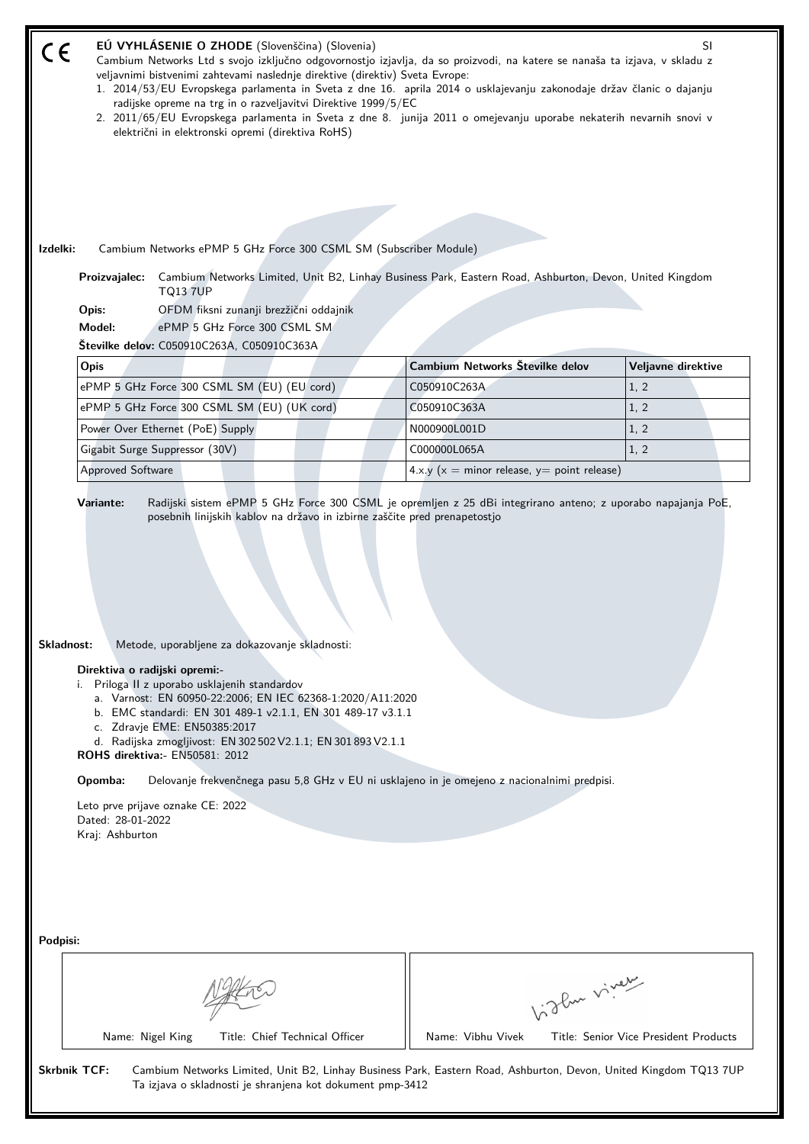|                                                                                                                                                                                                                                                                                                                                                                                                                                                                                                                                                                                                        | EÚ VYHLÁSENIE O ZHODE (Slovenščina) (Slovenia)<br>SI<br>Cambium Networks Ltd s svojo izključno odgovornostjo izjavlja, da so proizvodi, na katere se nanaša ta izjava, v skladu z<br>veljavnimi bistvenimi zahtevami naslednje direktive (direktiv) Sveta Evrope:<br>1. 2014/53/EU Evropskega parlamenta in Sveta z dne 16. aprila 2014 o usklajevanju zakonodaje držav članic o dajanju<br>radijske opreme na trg in o razveljavitvi Direktive 1999/5/EC<br>2. 2011/65/EU Evropskega parlamenta in Sveta z dne 8. junija 2011 o omejevanju uporabe nekaterih nevarnih snovi v<br>električni in elektronski opremi (direktiva RoHS)<br>Izdelki:<br>Cambium Networks ePMP 5 GHz Force 300 CSML SM (Subscriber Module)<br>Cambium Networks Limited, Unit B2, Linhay Business Park, Eastern Road, Ashburton, Devon, United Kingdom<br>Proizvajalec: |                                                   |                                       |  |  |
|--------------------------------------------------------------------------------------------------------------------------------------------------------------------------------------------------------------------------------------------------------------------------------------------------------------------------------------------------------------------------------------------------------------------------------------------------------------------------------------------------------------------------------------------------------------------------------------------------------|--------------------------------------------------------------------------------------------------------------------------------------------------------------------------------------------------------------------------------------------------------------------------------------------------------------------------------------------------------------------------------------------------------------------------------------------------------------------------------------------------------------------------------------------------------------------------------------------------------------------------------------------------------------------------------------------------------------------------------------------------------------------------------------------------------------------------------------------------|---------------------------------------------------|---------------------------------------|--|--|
|                                                                                                                                                                                                                                                                                                                                                                                                                                                                                                                                                                                                        | <b>TQ13 7UP</b><br>OFDM fiksni zunanji brezžični oddajnik<br>Opis:                                                                                                                                                                                                                                                                                                                                                                                                                                                                                                                                                                                                                                                                                                                                                                               |                                                   |                                       |  |  |
|                                                                                                                                                                                                                                                                                                                                                                                                                                                                                                                                                                                                        | Model:<br>ePMP 5 GHz Force 300 CSML SM                                                                                                                                                                                                                                                                                                                                                                                                                                                                                                                                                                                                                                                                                                                                                                                                           |                                                   |                                       |  |  |
|                                                                                                                                                                                                                                                                                                                                                                                                                                                                                                                                                                                                        | Številke delov: C050910C263A, C050910C363A                                                                                                                                                                                                                                                                                                                                                                                                                                                                                                                                                                                                                                                                                                                                                                                                       |                                                   |                                       |  |  |
|                                                                                                                                                                                                                                                                                                                                                                                                                                                                                                                                                                                                        | Opis                                                                                                                                                                                                                                                                                                                                                                                                                                                                                                                                                                                                                                                                                                                                                                                                                                             | Cambium Networks Številke delov                   | Veljavne direktive                    |  |  |
|                                                                                                                                                                                                                                                                                                                                                                                                                                                                                                                                                                                                        | ePMP 5 GHz Force 300 CSML SM (EU) (EU cord)                                                                                                                                                                                                                                                                                                                                                                                                                                                                                                                                                                                                                                                                                                                                                                                                      | C050910C263A                                      | 1, 2                                  |  |  |
|                                                                                                                                                                                                                                                                                                                                                                                                                                                                                                                                                                                                        | ePMP 5 GHz Force 300 CSML SM (EU) (UK cord)                                                                                                                                                                                                                                                                                                                                                                                                                                                                                                                                                                                                                                                                                                                                                                                                      | C050910C363A                                      | 1, 2                                  |  |  |
|                                                                                                                                                                                                                                                                                                                                                                                                                                                                                                                                                                                                        | Power Over Ethernet (PoE) Supply                                                                                                                                                                                                                                                                                                                                                                                                                                                                                                                                                                                                                                                                                                                                                                                                                 | N000900L001D                                      | 1, 2                                  |  |  |
|                                                                                                                                                                                                                                                                                                                                                                                                                                                                                                                                                                                                        | Gigabit Surge Suppressor (30V)                                                                                                                                                                                                                                                                                                                                                                                                                                                                                                                                                                                                                                                                                                                                                                                                                   | C000000L065A                                      | 1, 2                                  |  |  |
|                                                                                                                                                                                                                                                                                                                                                                                                                                                                                                                                                                                                        | Approved Software                                                                                                                                                                                                                                                                                                                                                                                                                                                                                                                                                                                                                                                                                                                                                                                                                                | 4.x.y ( $x =$ minor release, $y =$ point release) |                                       |  |  |
| Metode, uporabljene za dokazovanje skladnosti:<br>Skladnost:<br>Direktiva o radijski opremi:-<br>i. Priloga II z uporabo usklajenih standardov<br>a. Varnost: EN 60950-22:2006; EN IEC 62368-1:2020/A11:2020<br>b. EMC standardi: EN 301 489-1 v2.1.1, EN 301 489-17 v3.1.1<br>c. Zdravje EME: EN50385:2017<br>d. Radijska zmogljivost: EN 302 502 V2.1.1; EN 301 893 V2.1.1<br>ROHS direktiva:- EN50581: 2012<br>Opomba:<br>Delovanje frekvenčnega pasu 5,8 GHz v EU ni usklajeno in je omejeno z nacionalnimi predpisi.<br>Leto prve prijave oznake CE: 2022<br>Dated: 28-01-2022<br>Kraj: Ashburton |                                                                                                                                                                                                                                                                                                                                                                                                                                                                                                                                                                                                                                                                                                                                                                                                                                                  |                                                   |                                       |  |  |
| Podpisi:                                                                                                                                                                                                                                                                                                                                                                                                                                                                                                                                                                                               | Title: Chief Technical Officer<br>Name: Nigel King                                                                                                                                                                                                                                                                                                                                                                                                                                                                                                                                                                                                                                                                                                                                                                                               | Light vivey<br>Name: Vibhu Vivek                  | Title: Senior Vice President Products |  |  |
|                                                                                                                                                                                                                                                                                                                                                                                                                                                                                                                                                                                                        | <b>Skrbnik TCF:</b><br>Cambium Networks Limited, Unit B2, Linhay Business Park, Eastern Road, Ashburton, Devon, United Kingdom TQ13 7UP<br>Ta izjava o skladnosti je shranjena kot dokument pmp-3412                                                                                                                                                                                                                                                                                                                                                                                                                                                                                                                                                                                                                                             |                                                   |                                       |  |  |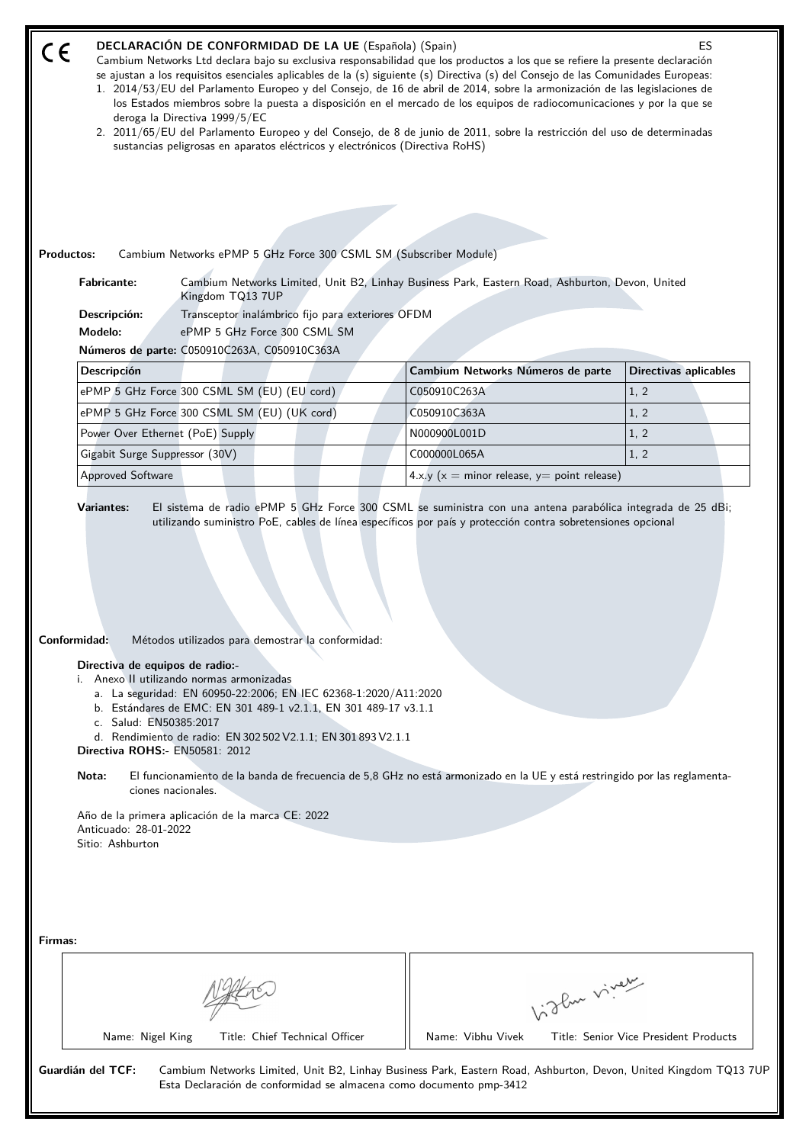| DECLARACIÓN DE CONFORMIDAD DE LA UE (Española) (Spain)<br>ES<br>CE<br>Cambium Networks Ltd declara bajo su exclusiva responsabilidad que los productos a los que se refiere la presente declaración<br>se ajustan a los requisitos esenciales aplicables de la (s) siguiente (s) Directiva (s) del Consejo de las Comunidades Europeas:<br>1. 2014/53/EU del Parlamento Europeo y del Consejo, de 16 de abril de 2014, sobre la armonización de las legislaciones de<br>los Estados miembros sobre la puesta a disposición en el mercado de los equipos de radiocomunicaciones y por la que se<br>deroga la Directiva 1999/5/EC<br>2. 2011/65/EU del Parlamento Europeo y del Consejo, de 8 de junio de 2011, sobre la restricción del uso de determinadas |                                                                                                                                                                                                     |                                                                                                                                                                                                                                                                            |                              |
|------------------------------------------------------------------------------------------------------------------------------------------------------------------------------------------------------------------------------------------------------------------------------------------------------------------------------------------------------------------------------------------------------------------------------------------------------------------------------------------------------------------------------------------------------------------------------------------------------------------------------------------------------------------------------------------------------------------------------------------------------------|-----------------------------------------------------------------------------------------------------------------------------------------------------------------------------------------------------|----------------------------------------------------------------------------------------------------------------------------------------------------------------------------------------------------------------------------------------------------------------------------|------------------------------|
|                                                                                                                                                                                                                                                                                                                                                                                                                                                                                                                                                                                                                                                                                                                                                            | sustancias peligrosas en aparatos eléctricos y electrónicos (Directiva RoHS)                                                                                                                        |                                                                                                                                                                                                                                                                            |                              |
|                                                                                                                                                                                                                                                                                                                                                                                                                                                                                                                                                                                                                                                                                                                                                            |                                                                                                                                                                                                     |                                                                                                                                                                                                                                                                            |                              |
|                                                                                                                                                                                                                                                                                                                                                                                                                                                                                                                                                                                                                                                                                                                                                            |                                                                                                                                                                                                     |                                                                                                                                                                                                                                                                            |                              |
| <b>Productos:</b>                                                                                                                                                                                                                                                                                                                                                                                                                                                                                                                                                                                                                                                                                                                                          | Cambium Networks ePMP 5 GHz Force 300 CSML SM (Subscriber Module)                                                                                                                                   |                                                                                                                                                                                                                                                                            |                              |
| <b>Fabricante:</b>                                                                                                                                                                                                                                                                                                                                                                                                                                                                                                                                                                                                                                                                                                                                         |                                                                                                                                                                                                     | Cambium Networks Limited, Unit B2, Linhay Business Park, Eastern Road, Ashburton, Devon, United                                                                                                                                                                            |                              |
| Descripción:                                                                                                                                                                                                                                                                                                                                                                                                                                                                                                                                                                                                                                                                                                                                               | Kingdom TQ13 7UP<br>Transceptor inalámbrico fijo para exteriores OFDM                                                                                                                               |                                                                                                                                                                                                                                                                            |                              |
| Modelo:                                                                                                                                                                                                                                                                                                                                                                                                                                                                                                                                                                                                                                                                                                                                                    | ePMP 5 GHz Force 300 CSML SM                                                                                                                                                                        |                                                                                                                                                                                                                                                                            |                              |
|                                                                                                                                                                                                                                                                                                                                                                                                                                                                                                                                                                                                                                                                                                                                                            | Números de parte: C050910C263A, C050910C363A                                                                                                                                                        |                                                                                                                                                                                                                                                                            |                              |
| <b>Descripción</b>                                                                                                                                                                                                                                                                                                                                                                                                                                                                                                                                                                                                                                                                                                                                         |                                                                                                                                                                                                     | Cambium Networks Números de parte                                                                                                                                                                                                                                          | <b>Directivas aplicables</b> |
|                                                                                                                                                                                                                                                                                                                                                                                                                                                                                                                                                                                                                                                                                                                                                            | ePMP 5 GHz Force 300 CSML SM (EU) (EU cord)                                                                                                                                                         | C050910C263A                                                                                                                                                                                                                                                               | 1, 2                         |
|                                                                                                                                                                                                                                                                                                                                                                                                                                                                                                                                                                                                                                                                                                                                                            | ePMP 5 GHz Force 300 CSML SM (EU) (UK cord)                                                                                                                                                         | C050910C363A                                                                                                                                                                                                                                                               | 1, 2                         |
| Power Over Ethernet (PoE) Supply                                                                                                                                                                                                                                                                                                                                                                                                                                                                                                                                                                                                                                                                                                                           |                                                                                                                                                                                                     | N000900L001D                                                                                                                                                                                                                                                               | 1, 2                         |
| Gigabit Surge Suppressor (30V)                                                                                                                                                                                                                                                                                                                                                                                                                                                                                                                                                                                                                                                                                                                             |                                                                                                                                                                                                     | C000000L065A                                                                                                                                                                                                                                                               | 1, 2                         |
|                                                                                                                                                                                                                                                                                                                                                                                                                                                                                                                                                                                                                                                                                                                                                            |                                                                                                                                                                                                     |                                                                                                                                                                                                                                                                            |                              |
| Approved Software<br>Variantes:                                                                                                                                                                                                                                                                                                                                                                                                                                                                                                                                                                                                                                                                                                                            |                                                                                                                                                                                                     | $4.x.y(x = minor release, y = point release)$<br>El sistema de radio ePMP 5 GHz Force 300 CSML se suministra con una antena parabólica integrada de 25 dBi;<br>utilizando suministro PoE, cables de línea específicos por país y protección contra sobretensiones opcional |                              |
| <b>Conformidad:</b><br>Directiva de equipos de radio:-                                                                                                                                                                                                                                                                                                                                                                                                                                                                                                                                                                                                                                                                                                     | Metodos utilizados para demostrar la conformidad:<br>i. Anexo II utilizando normas armonizadas                                                                                                      |                                                                                                                                                                                                                                                                            |                              |
| c. Salud: EN50385:2017                                                                                                                                                                                                                                                                                                                                                                                                                                                                                                                                                                                                                                                                                                                                     | a. La seguridad: EN 60950-22:2006; EN IEC 62368-1:2020/A11:2020<br>b. Estándares de EMC: EN 301 489-1 v2.1.1, EN 301 489-17 v3.1.1<br>d. Rendimiento de radio: EN 302 502 V2.1.1; EN 301 893 V2.1.1 |                                                                                                                                                                                                                                                                            |                              |
| <b>Directiva ROHS:- EN50581: 2012</b><br>Nota:<br>ciones nacionales.                                                                                                                                                                                                                                                                                                                                                                                                                                                                                                                                                                                                                                                                                       |                                                                                                                                                                                                     | El funcionamiento de la banda de frecuencia de 5,8 GHz no está armonizado en la UE y está restringido por las reglamenta-                                                                                                                                                  |                              |
| Anticuado: 28-01-2022<br>Sitio: Ashburton                                                                                                                                                                                                                                                                                                                                                                                                                                                                                                                                                                                                                                                                                                                  | Año de la primera aplicación de la marca CE: 2022                                                                                                                                                   |                                                                                                                                                                                                                                                                            |                              |
|                                                                                                                                                                                                                                                                                                                                                                                                                                                                                                                                                                                                                                                                                                                                                            |                                                                                                                                                                                                     |                                                                                                                                                                                                                                                                            |                              |
| Firmas:                                                                                                                                                                                                                                                                                                                                                                                                                                                                                                                                                                                                                                                                                                                                                    |                                                                                                                                                                                                     |                                                                                                                                                                                                                                                                            |                              |
|                                                                                                                                                                                                                                                                                                                                                                                                                                                                                                                                                                                                                                                                                                                                                            |                                                                                                                                                                                                     |                                                                                                                                                                                                                                                                            | Light vivey                  |